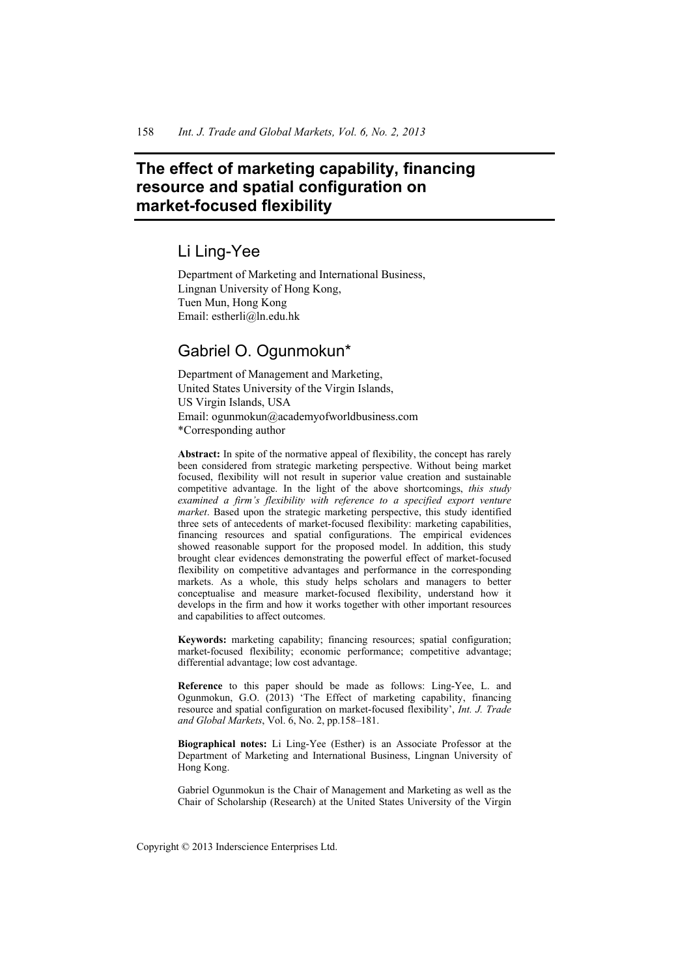# **The effect of marketing capability, financing resource and spatial configuration on market-focused flexibility**

# Li Ling-Yee

Department of Marketing and International Business, Lingnan University of Hong Kong, Tuen Mun, Hong Kong Email: estherli@ln.edu.hk

# Gabriel O. Ogunmokun\*

Department of Management and Marketing, United States University of the Virgin Islands, US Virgin Islands, USA Email: ogunmokun@academyofworldbusiness.com \*Corresponding author

**Abstract:** In spite of the normative appeal of flexibility, the concept has rarely been considered from strategic marketing perspective. Without being market focused, flexibility will not result in superior value creation and sustainable competitive advantage. In the light of the above shortcomings, *this study examined a firm's flexibility with reference to a specified export venture market*. Based upon the strategic marketing perspective, this study identified three sets of antecedents of market-focused flexibility: marketing capabilities, financing resources and spatial configurations. The empirical evidences showed reasonable support for the proposed model. In addition, this study brought clear evidences demonstrating the powerful effect of market-focused flexibility on competitive advantages and performance in the corresponding markets. As a whole, this study helps scholars and managers to better conceptualise and measure market-focused flexibility, understand how it develops in the firm and how it works together with other important resources and capabilities to affect outcomes.

**Keywords:** marketing capability; financing resources; spatial configuration; market-focused flexibility; economic performance; competitive advantage; differential advantage; low cost advantage.

**Reference** to this paper should be made as follows: Ling-Yee, L. and Ogunmokun, G.O. (2013) 'The Effect of marketing capability, financing resource and spatial configuration on market-focused flexibility', *Int. J. Trade and Global Markets*, Vol. 6, No. 2, pp.158–181.

**Biographical notes:** Li Ling-Yee (Esther) is an Associate Professor at the Department of Marketing and International Business, Lingnan University of Hong Kong.

Gabriel Ogunmokun is the Chair of Management and Marketing as well as the Chair of Scholarship (Research) at the United States University of the Virgin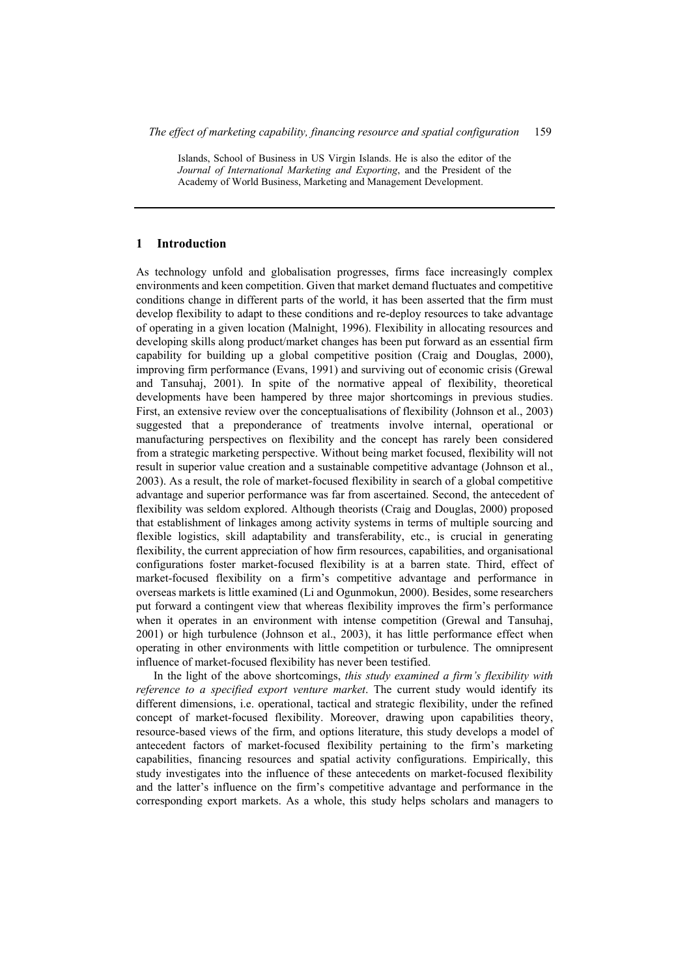Islands, School of Business in US Virgin Islands. He is also the editor of the *Journal of International Marketing and Exporting*, and the President of the Academy of World Business, Marketing and Management Development.

## **1 Introduction**

As technology unfold and globalisation progresses, firms face increasingly complex environments and keen competition. Given that market demand fluctuates and competitive conditions change in different parts of the world, it has been asserted that the firm must develop flexibility to adapt to these conditions and re-deploy resources to take advantage of operating in a given location (Malnight, 1996). Flexibility in allocating resources and developing skills along product/market changes has been put forward as an essential firm capability for building up a global competitive position (Craig and Douglas, 2000), improving firm performance (Evans, 1991) and surviving out of economic crisis (Grewal and Tansuhaj, 2001). In spite of the normative appeal of flexibility, theoretical developments have been hampered by three major shortcomings in previous studies. First, an extensive review over the conceptualisations of flexibility (Johnson et al., 2003) suggested that a preponderance of treatments involve internal, operational or manufacturing perspectives on flexibility and the concept has rarely been considered from a strategic marketing perspective. Without being market focused, flexibility will not result in superior value creation and a sustainable competitive advantage (Johnson et al., 2003). As a result, the role of market-focused flexibility in search of a global competitive advantage and superior performance was far from ascertained. Second, the antecedent of flexibility was seldom explored. Although theorists (Craig and Douglas, 2000) proposed that establishment of linkages among activity systems in terms of multiple sourcing and flexible logistics, skill adaptability and transferability, etc., is crucial in generating flexibility, the current appreciation of how firm resources, capabilities, and organisational configurations foster market-focused flexibility is at a barren state. Third, effect of market-focused flexibility on a firm's competitive advantage and performance in overseas markets is little examined (Li and Ogunmokun, 2000). Besides, some researchers put forward a contingent view that whereas flexibility improves the firm's performance when it operates in an environment with intense competition (Grewal and Tansuhai, 2001) or high turbulence (Johnson et al., 2003), it has little performance effect when operating in other environments with little competition or turbulence. The omnipresent influence of market-focused flexibility has never been testified.

In the light of the above shortcomings, *this study examined a firm's flexibility with reference to a specified export venture market*. The current study would identify its different dimensions, i.e. operational, tactical and strategic flexibility, under the refined concept of market-focused flexibility. Moreover, drawing upon capabilities theory, resource-based views of the firm, and options literature, this study develops a model of antecedent factors of market-focused flexibility pertaining to the firm's marketing capabilities, financing resources and spatial activity configurations. Empirically, this study investigates into the influence of these antecedents on market-focused flexibility and the latter's influence on the firm's competitive advantage and performance in the corresponding export markets. As a whole, this study helps scholars and managers to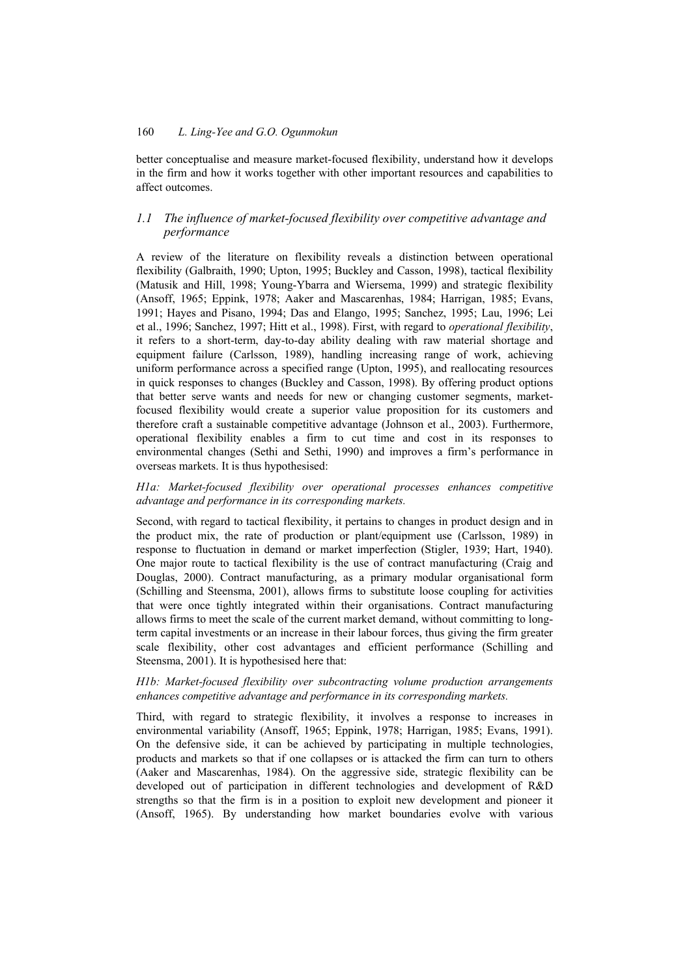better conceptualise and measure market-focused flexibility, understand how it develops in the firm and how it works together with other important resources and capabilities to affect outcomes.

# *1.1 The influence of market-focused flexibility over competitive advantage and performance*

A review of the literature on flexibility reveals a distinction between operational flexibility (Galbraith, 1990; Upton, 1995; Buckley and Casson, 1998), tactical flexibility (Matusik and Hill, 1998; Young-Ybarra and Wiersema, 1999) and strategic flexibility (Ansoff, 1965; Eppink, 1978; Aaker and Mascarenhas, 1984; Harrigan, 1985; Evans, 1991; Hayes and Pisano, 1994; Das and Elango, 1995; Sanchez, 1995; Lau, 1996; Lei et al., 1996; Sanchez, 1997; Hitt et al., 1998). First, with regard to *operational flexibility*, it refers to a short-term, day-to-day ability dealing with raw material shortage and equipment failure (Carlsson, 1989), handling increasing range of work, achieving uniform performance across a specified range (Upton, 1995), and reallocating resources in quick responses to changes (Buckley and Casson, 1998). By offering product options that better serve wants and needs for new or changing customer segments, marketfocused flexibility would create a superior value proposition for its customers and therefore craft a sustainable competitive advantage (Johnson et al., 2003). Furthermore, operational flexibility enables a firm to cut time and cost in its responses to environmental changes (Sethi and Sethi, 1990) and improves a firm's performance in overseas markets. It is thus hypothesised:

# *H1a: Market-focused flexibility over operational processes enhances competitive advantage and performance in its corresponding markets.*

Second, with regard to tactical flexibility, it pertains to changes in product design and in the product mix, the rate of production or plant/equipment use (Carlsson, 1989) in response to fluctuation in demand or market imperfection (Stigler, 1939; Hart, 1940). One major route to tactical flexibility is the use of contract manufacturing (Craig and Douglas, 2000). Contract manufacturing, as a primary modular organisational form (Schilling and Steensma, 2001), allows firms to substitute loose coupling for activities that were once tightly integrated within their organisations. Contract manufacturing allows firms to meet the scale of the current market demand, without committing to longterm capital investments or an increase in their labour forces, thus giving the firm greater scale flexibility, other cost advantages and efficient performance (Schilling and Steensma, 2001). It is hypothesised here that:

# *H1b: Market-focused flexibility over subcontracting volume production arrangements enhances competitive advantage and performance in its corresponding markets.*

Third, with regard to strategic flexibility, it involves a response to increases in environmental variability (Ansoff, 1965; Eppink, 1978; Harrigan, 1985; Evans, 1991). On the defensive side, it can be achieved by participating in multiple technologies, products and markets so that if one collapses or is attacked the firm can turn to others (Aaker and Mascarenhas, 1984). On the aggressive side, strategic flexibility can be developed out of participation in different technologies and development of R&D strengths so that the firm is in a position to exploit new development and pioneer it (Ansoff, 1965). By understanding how market boundaries evolve with various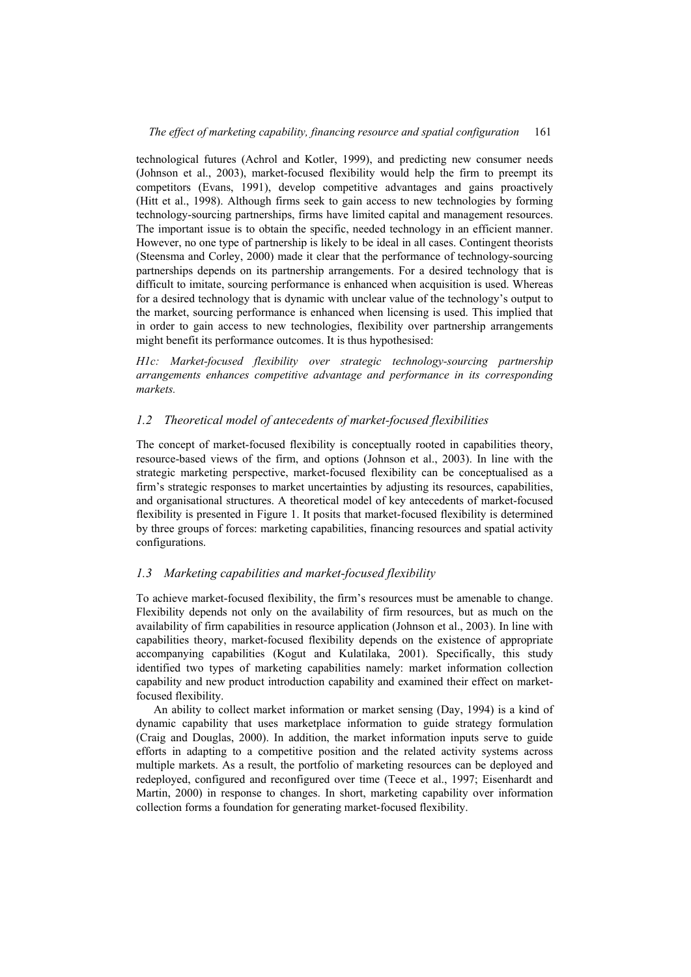technological futures (Achrol and Kotler, 1999), and predicting new consumer needs (Johnson et al., 2003), market-focused flexibility would help the firm to preempt its competitors (Evans, 1991), develop competitive advantages and gains proactively (Hitt et al., 1998). Although firms seek to gain access to new technologies by forming technology-sourcing partnerships, firms have limited capital and management resources. The important issue is to obtain the specific, needed technology in an efficient manner. However, no one type of partnership is likely to be ideal in all cases. Contingent theorists (Steensma and Corley, 2000) made it clear that the performance of technology-sourcing partnerships depends on its partnership arrangements. For a desired technology that is difficult to imitate, sourcing performance is enhanced when acquisition is used. Whereas for a desired technology that is dynamic with unclear value of the technology's output to the market, sourcing performance is enhanced when licensing is used. This implied that in order to gain access to new technologies, flexibility over partnership arrangements might benefit its performance outcomes. It is thus hypothesised:

*H1c: Market-focused flexibility over strategic technology-sourcing partnership arrangements enhances competitive advantage and performance in its corresponding markets.* 

# *1.2 Theoretical model of antecedents of market-focused flexibilities*

The concept of market-focused flexibility is conceptually rooted in capabilities theory, resource-based views of the firm, and options (Johnson et al., 2003). In line with the strategic marketing perspective, market-focused flexibility can be conceptualised as a firm's strategic responses to market uncertainties by adjusting its resources, capabilities, and organisational structures. A theoretical model of key antecedents of market-focused flexibility is presented in Figure 1. It posits that market-focused flexibility is determined by three groups of forces: marketing capabilities, financing resources and spatial activity configurations.

## *1.3 Marketing capabilities and market-focused flexibility*

To achieve market-focused flexibility, the firm's resources must be amenable to change. Flexibility depends not only on the availability of firm resources, but as much on the availability of firm capabilities in resource application (Johnson et al., 2003). In line with capabilities theory, market-focused flexibility depends on the existence of appropriate accompanying capabilities (Kogut and Kulatilaka, 2001). Specifically, this study identified two types of marketing capabilities namely: market information collection capability and new product introduction capability and examined their effect on marketfocused flexibility.

An ability to collect market information or market sensing (Day, 1994) is a kind of dynamic capability that uses marketplace information to guide strategy formulation (Craig and Douglas, 2000). In addition, the market information inputs serve to guide efforts in adapting to a competitive position and the related activity systems across multiple markets. As a result, the portfolio of marketing resources can be deployed and redeployed, configured and reconfigured over time (Teece et al., 1997; Eisenhardt and Martin, 2000) in response to changes. In short, marketing capability over information collection forms a foundation for generating market-focused flexibility.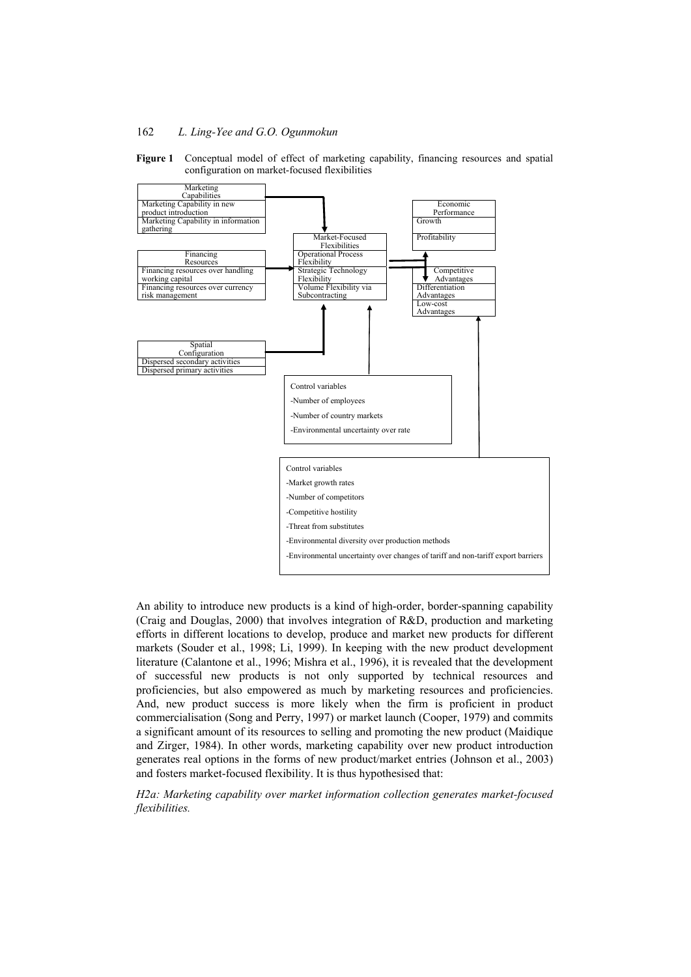

**Figure 1** Conceptual model of effect of marketing capability, financing resources and spatial configuration on market-focused flexibilities

An ability to introduce new products is a kind of high-order, border-spanning capability (Craig and Douglas, 2000) that involves integration of R&D, production and marketing efforts in different locations to develop, produce and market new products for different markets (Souder et al., 1998; Li, 1999). In keeping with the new product development literature (Calantone et al., 1996; Mishra et al., 1996), it is revealed that the development of successful new products is not only supported by technical resources and proficiencies, but also empowered as much by marketing resources and proficiencies. And, new product success is more likely when the firm is proficient in product commercialisation (Song and Perry, 1997) or market launch (Cooper, 1979) and commits a significant amount of its resources to selling and promoting the new product (Maidique and Zirger, 1984). In other words, marketing capability over new product introduction generates real options in the forms of new product/market entries (Johnson et al., 2003) and fosters market-focused flexibility. It is thus hypothesised that:

*H2a: Marketing capability over market information collection generates market-focused flexibilities.*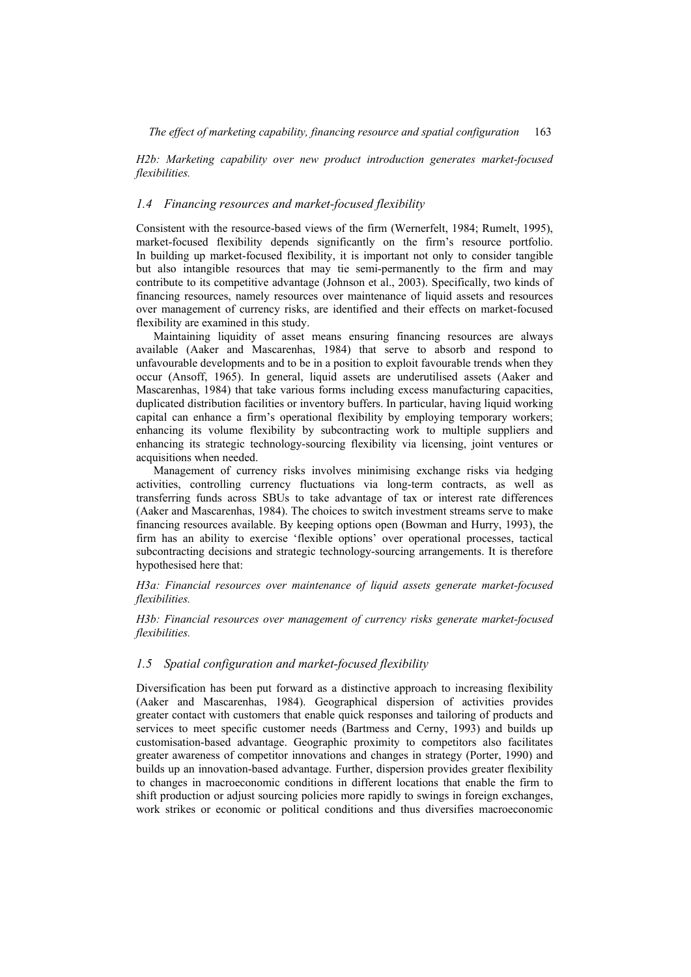*H2b: Marketing capability over new product introduction generates market-focused flexibilities.* 

## *1.4 Financing resources and market-focused flexibility*

Consistent with the resource-based views of the firm (Wernerfelt, 1984; Rumelt, 1995), market-focused flexibility depends significantly on the firm's resource portfolio. In building up market-focused flexibility, it is important not only to consider tangible but also intangible resources that may tie semi-permanently to the firm and may contribute to its competitive advantage (Johnson et al., 2003). Specifically, two kinds of financing resources, namely resources over maintenance of liquid assets and resources over management of currency risks, are identified and their effects on market-focused flexibility are examined in this study.

Maintaining liquidity of asset means ensuring financing resources are always available (Aaker and Mascarenhas, 1984) that serve to absorb and respond to unfavourable developments and to be in a position to exploit favourable trends when they occur (Ansoff, 1965). In general, liquid assets are underutilised assets (Aaker and Mascarenhas, 1984) that take various forms including excess manufacturing capacities, duplicated distribution facilities or inventory buffers. In particular, having liquid working capital can enhance a firm's operational flexibility by employing temporary workers; enhancing its volume flexibility by subcontracting work to multiple suppliers and enhancing its strategic technology-sourcing flexibility via licensing, joint ventures or acquisitions when needed.

Management of currency risks involves minimising exchange risks via hedging activities, controlling currency fluctuations via long-term contracts, as well as transferring funds across SBUs to take advantage of tax or interest rate differences (Aaker and Mascarenhas, 1984). The choices to switch investment streams serve to make financing resources available. By keeping options open (Bowman and Hurry, 1993), the firm has an ability to exercise 'flexible options' over operational processes, tactical subcontracting decisions and strategic technology-sourcing arrangements. It is therefore hypothesised here that:

# *H3a: Financial resources over maintenance of liquid assets generate market-focused flexibilities.*

*H3b: Financial resources over management of currency risks generate market-focused flexibilities.* 

### *1.5 Spatial configuration and market-focused flexibility*

Diversification has been put forward as a distinctive approach to increasing flexibility (Aaker and Mascarenhas, 1984). Geographical dispersion of activities provides greater contact with customers that enable quick responses and tailoring of products and services to meet specific customer needs (Bartmess and Cerny, 1993) and builds up customisation-based advantage. Geographic proximity to competitors also facilitates greater awareness of competitor innovations and changes in strategy (Porter, 1990) and builds up an innovation-based advantage. Further, dispersion provides greater flexibility to changes in macroeconomic conditions in different locations that enable the firm to shift production or adjust sourcing policies more rapidly to swings in foreign exchanges, work strikes or economic or political conditions and thus diversifies macroeconomic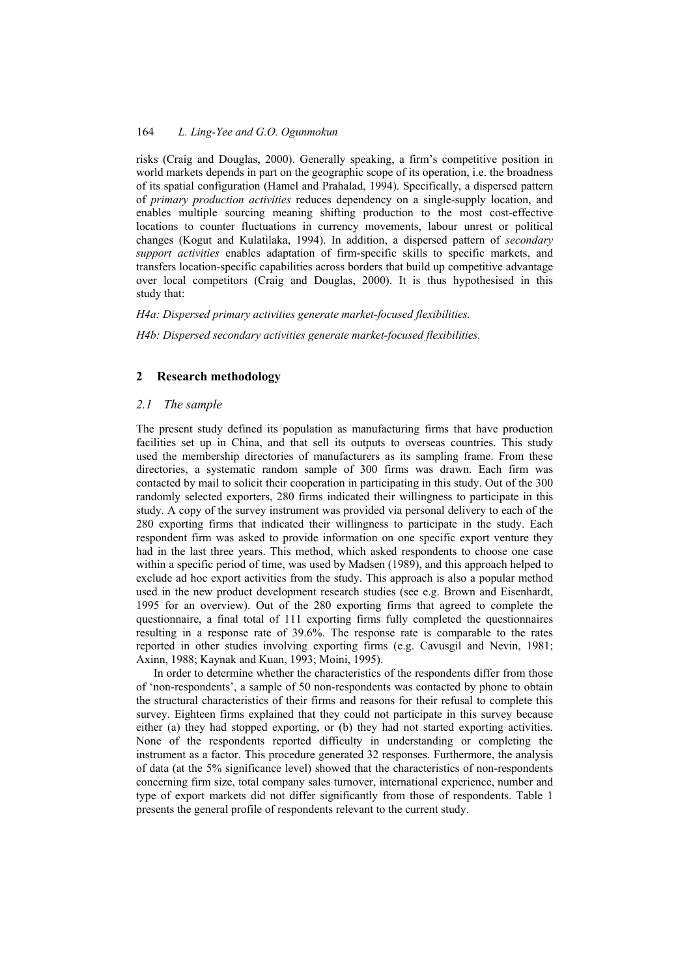risks (Craig and Douglas, 2000). Generally speaking, a firm's competitive position in world markets depends in part on the geographic scope of its operation, i.e. the broadness of its spatial configuration (Hamel and Prahalad, 1994). Specifically, a dispersed pattern of *primary production activities* reduces dependency on a single-supply location, and enables multiple sourcing meaning shifting production to the most cost-effective locations to counter fluctuations in currency movements, labour unrest or political changes (Kogut and Kulatilaka, 1994). In addition, a dispersed pattern of *secondary support activities* enables adaptation of firm-specific skills to specific markets, and transfers location-specific capabilities across borders that build up competitive advantage over local competitors (Craig and Douglas, 2000). It is thus hypothesised in this study that:

*H4a: Dispersed primary activities generate market-focused flexibilities.* 

*H4b: Dispersed secondary activities generate market-focused flexibilities.* 

# **2 Research methodology**

# *2.1 The sample*

The present study defined its population as manufacturing firms that have production facilities set up in China, and that sell its outputs to overseas countries. This study used the membership directories of manufacturers as its sampling frame. From these directories, a systematic random sample of 300 firms was drawn. Each firm was contacted by mail to solicit their cooperation in participating in this study. Out of the 300 randomly selected exporters, 280 firms indicated their willingness to participate in this study. A copy of the survey instrument was provided via personal delivery to each of the 280 exporting firms that indicated their willingness to participate in the study. Each respondent firm was asked to provide information on one specific export venture they had in the last three years. This method, which asked respondents to choose one case within a specific period of time, was used by Madsen (1989), and this approach helped to exclude ad hoc export activities from the study. This approach is also a popular method used in the new product development research studies (see e.g. Brown and Eisenhardt, 1995 for an overview). Out of the 280 exporting firms that agreed to complete the questionnaire, a final total of 111 exporting firms fully completed the questionnaires resulting in a response rate of 39.6%. The response rate is comparable to the rates reported in other studies involving exporting firms (e.g. Cavusgil and Nevin, 1981; Axinn, 1988; Kaynak and Kuan, 1993; Moini, 1995).

In order to determine whether the characteristics of the respondents differ from those of 'non-respondents', a sample of 50 non-respondents was contacted by phone to obtain the structural characteristics of their firms and reasons for their refusal to complete this survey. Eighteen firms explained that they could not participate in this survey because either (a) they had stopped exporting, or (b) they had not started exporting activities. None of the respondents reported difficulty in understanding or completing the instrument as a factor. This procedure generated 32 responses. Furthermore, the analysis of data (at the 5% significance level) showed that the characteristics of non-respondents concerning firm size, total company sales turnover, international experience, number and type of export markets did not differ significantly from those of respondents. Table 1 presents the general profile of respondents relevant to the current study.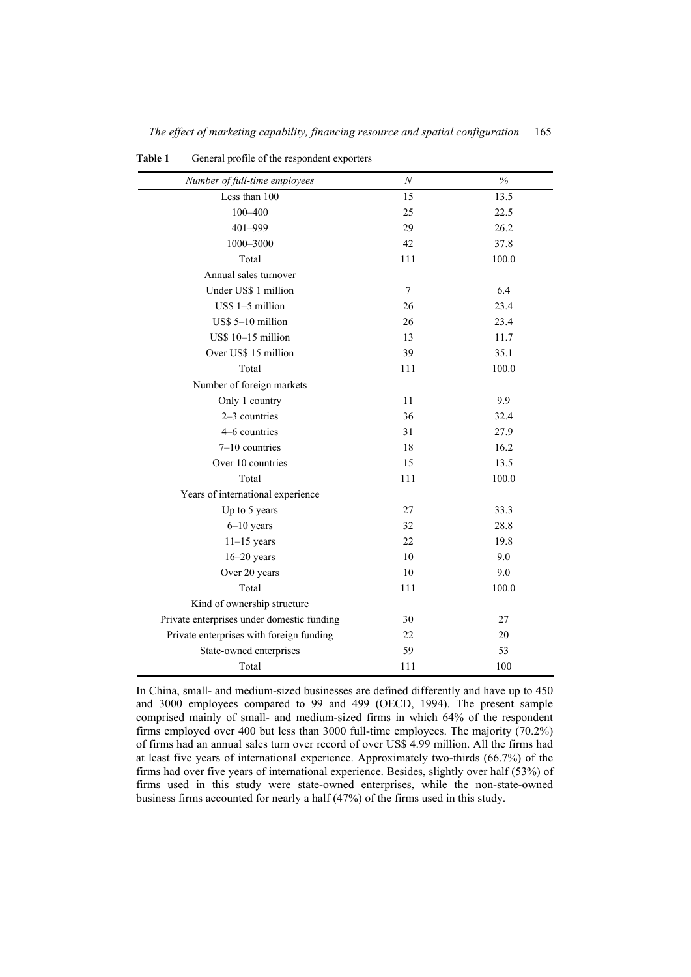| Number of full-time employees              | $\boldsymbol{N}$ | $\%$  |
|--------------------------------------------|------------------|-------|
| Less than 100                              | 15               | 13.5  |
| 100-400                                    | 25               | 22.5  |
| 401-999                                    | 29               | 26.2  |
| 1000-3000                                  | 42               | 37.8  |
| Total                                      | 111              | 100.0 |
| Annual sales turnover                      |                  |       |
| Under US\$ 1 million                       | $\tau$           | 6.4   |
| US\$ 1-5 million                           | 26               | 23.4  |
| US\$ 5-10 million                          | 26               | 23.4  |
| US\$ 10-15 million                         | 13               | 11.7  |
| Over US\$ 15 million                       | 39               | 35.1  |
| Total                                      | 111              | 100.0 |
| Number of foreign markets                  |                  |       |
| Only 1 country                             | 11               | 9.9   |
| 2-3 countries                              | 36               | 32.4  |
| 4-6 countries                              | 31               | 27.9  |
| $7-10$ countries                           | 18               | 16.2  |
| Over 10 countries                          | 15               | 13.5  |
| Total                                      | 111              | 100.0 |
| Years of international experience          |                  |       |
| Up to 5 years                              | 27               | 33.3  |
| $6 - 10$ years                             | 32               | 28.8  |
| $11-15$ years                              | 22               | 19.8  |
| $16 - 20$ years                            | 10               | 9.0   |
| Over 20 years                              | 10               | 9.0   |
| Total                                      | 111              | 100.0 |
| Kind of ownership structure                |                  |       |
| Private enterprises under domestic funding | 30               | 27    |
| Private enterprises with foreign funding   | 22               | 20    |
| State-owned enterprises                    | 59               | 53    |
| Total                                      | 111              | 100   |

Table 1 General profile of the respondent exporters

In China, small- and medium-sized businesses are defined differently and have up to 450 and 3000 employees compared to 99 and 499 (OECD, 1994). The present sample comprised mainly of small- and medium-sized firms in which 64% of the respondent firms employed over 400 but less than 3000 full-time employees. The majority (70.2%) of firms had an annual sales turn over record of over US\$ 4.99 million. All the firms had at least five years of international experience. Approximately two-thirds (66.7%) of the firms had over five years of international experience. Besides, slightly over half (53%) of firms used in this study were state-owned enterprises, while the non-state-owned business firms accounted for nearly a half (47%) of the firms used in this study.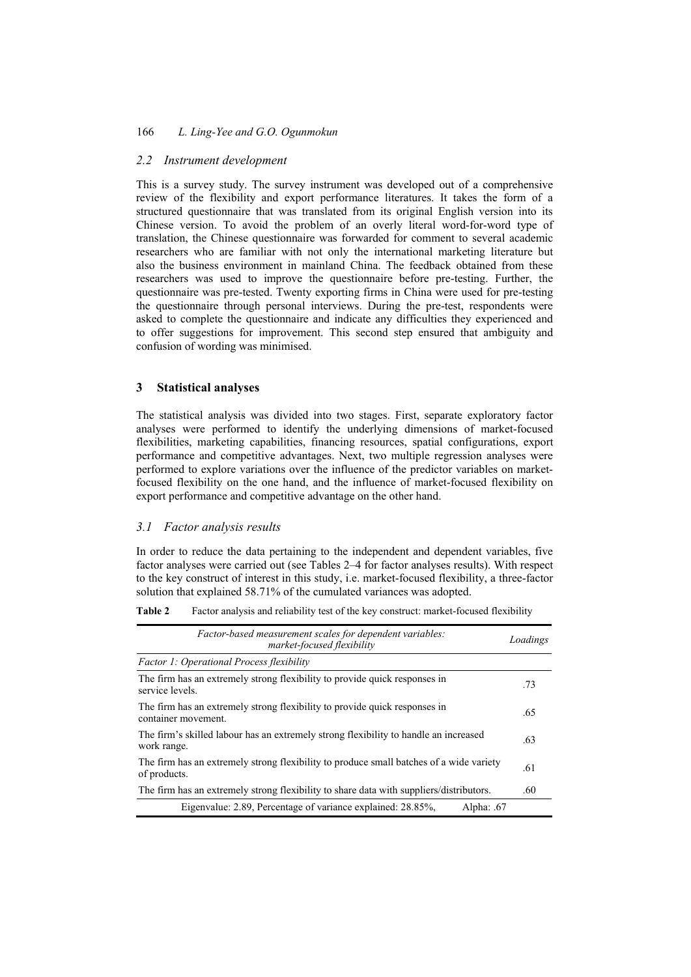### *2.2 Instrument development*

This is a survey study. The survey instrument was developed out of a comprehensive review of the flexibility and export performance literatures. It takes the form of a structured questionnaire that was translated from its original English version into its Chinese version. To avoid the problem of an overly literal word-for-word type of translation, the Chinese questionnaire was forwarded for comment to several academic researchers who are familiar with not only the international marketing literature but also the business environment in mainland China. The feedback obtained from these researchers was used to improve the questionnaire before pre-testing. Further, the questionnaire was pre-tested. Twenty exporting firms in China were used for pre-testing the questionnaire through personal interviews. During the pre-test, respondents were asked to complete the questionnaire and indicate any difficulties they experienced and to offer suggestions for improvement. This second step ensured that ambiguity and confusion of wording was minimised.

# **3 Statistical analyses**

The statistical analysis was divided into two stages. First, separate exploratory factor analyses were performed to identify the underlying dimensions of market-focused flexibilities, marketing capabilities, financing resources, spatial configurations, export performance and competitive advantages. Next, two multiple regression analyses were performed to explore variations over the influence of the predictor variables on marketfocused flexibility on the one hand, and the influence of market-focused flexibility on export performance and competitive advantage on the other hand.

## *3.1 Factor analysis results*

In order to reduce the data pertaining to the independent and dependent variables, five factor analyses were carried out (see Tables 2–4 for factor analyses results). With respect to the key construct of interest in this study, i.e. market-focused flexibility, a three-factor solution that explained 58.71% of the cumulated variances was adopted.

# **Table 2** Factor analysis and reliability test of the key construct: market-focused flexibility

| Factor-based measurement scales for dependent variables:<br>market-focused flexibility                  | Loadings |
|---------------------------------------------------------------------------------------------------------|----------|
| <b>Factor 1: Operational Process flexibility</b>                                                        |          |
| The firm has an extremely strong flexibility to provide quick responses in<br>service levels.           | .73      |
| The firm has an extremely strong flexibility to provide quick responses in<br>container movement.       | .65      |
| The firm's skilled labour has an extremely strong flexibility to handle an increased<br>work range.     | .63      |
| The firm has an extremely strong flexibility to produce small batches of a wide variety<br>of products. | .61      |
| The firm has an extremely strong flexibility to share data with suppliers/distributors.                 | .60      |
| Eigenvalue: 2.89, Percentage of variance explained: 28.85%,<br>Alpha: $.67$                             |          |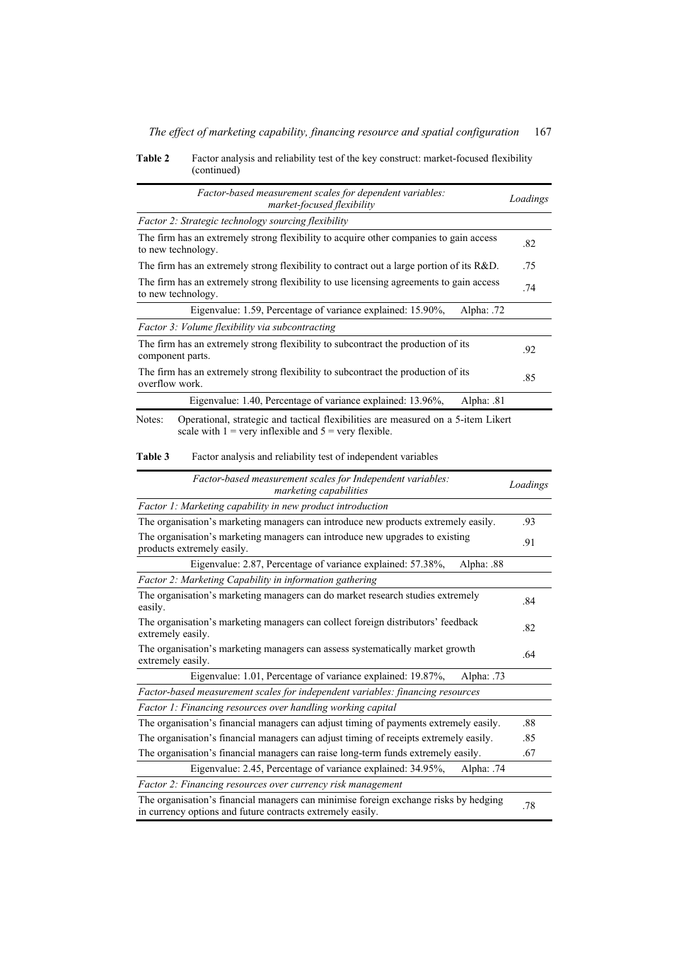#### **Table 2** Factor analysis and reliability test of the key construct: market-focused flexibility (continued)

| Factor-based measurement scales for dependent variables:<br>market-focused flexibility                                                                                 | Loadings |
|------------------------------------------------------------------------------------------------------------------------------------------------------------------------|----------|
| Factor 2: Strategic technology sourcing flexibility                                                                                                                    |          |
| The firm has an extremely strong flexibility to acquire other companies to gain access<br>to new technology.                                                           | .82      |
| The firm has an extremely strong flexibility to contract out a large portion of its R&D.                                                                               | .75      |
| The firm has an extremely strong flexibility to use licensing agreements to gain access<br>to new technology.                                                          | .74      |
| Eigenvalue: 1.59, Percentage of variance explained: 15.90%,<br>Alpha: .72                                                                                              |          |
| Factor 3: Volume flexibility via subcontracting                                                                                                                        |          |
| The firm has an extremely strong flexibility to subcontract the production of its<br>component parts.                                                                  | .92      |
| The firm has an extremely strong flexibility to subcontract the production of its<br>overflow work.                                                                    | .85      |
| Eigenvalue: 1.40, Percentage of variance explained: 13.96%,<br>Alpha: .81                                                                                              |          |
| Notes:<br>Operational, strategic and tactical flexibilities are measured on a 5-item Likert<br>scale with $1 = \text{very}$ inflexible and $5 = \text{very}$ flexible. |          |
| <b>Table 3</b><br>Factor analysis and reliability test of independent variables                                                                                        |          |
| Factor-based measurement scales for Independent variables:<br>marketing capabilities                                                                                   | Loadings |
| Factor 1: Marketing capability in new product introduction                                                                                                             |          |
| The organisation's marketing managers can introduce new products extremely easily.                                                                                     | .93      |
| The organisation's marketing managers can introduce new upgrades to existing<br>products extremely easily.                                                             | .91      |
| Eigenvalue: 2.87, Percentage of variance explained: 57.38%,<br>Alpha: .88                                                                                              |          |
| Factor 2: Marketing Capability in information gathering                                                                                                                |          |
| The organisation's marketing managers can do market research studies extremely<br>easily.                                                                              | .84      |
| The organisation's marketing managers can collect foreign distributors' feedback<br>extremely easily.                                                                  | .82      |
| The organisation's marketing managers can assess systematically market growth<br>extremely easily.                                                                     | .64      |
| Eigenvalue: 1.01, Percentage of variance explained: 19.87%,<br>Alpha: $.73$                                                                                            |          |
| Factor-based measurement scales for independent variables: financing resources                                                                                         |          |
| Factor 1: Financing resources over handling working capital                                                                                                            |          |
| The organisation's financial managers can adjust timing of payments extremely easily.                                                                                  | .88      |
| The organisation's financial managers can adjust timing of receipts extremely easily.                                                                                  | .85      |
| The organisation's financial managers can raise long-term funds extremely easily.                                                                                      | .67      |
| Eigenvalue: 2.45, Percentage of variance explained: 34.95%,<br>Alpha: .74                                                                                              |          |
| Factor 2: Financing resources over currency risk management                                                                                                            |          |
| The organisation's financial managers can minimise foreign exchange risks by hedging<br>in currency options and future contracts extremely easily.                     | .78      |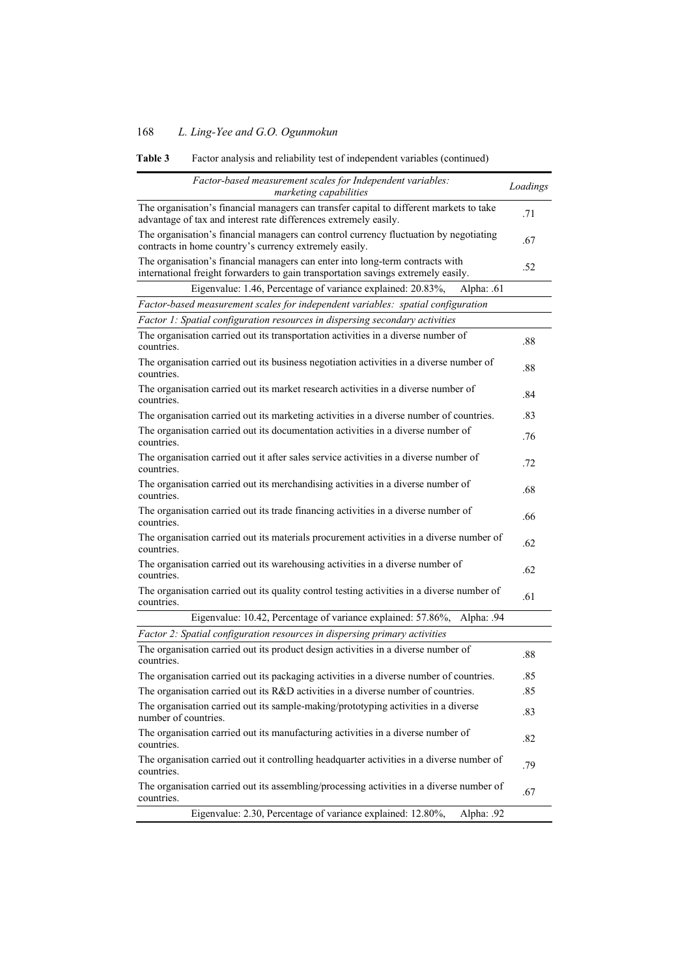**Table 3** Factor analysis and reliability test of independent variables (continued)

| Factor-based measurement scales for Independent variables:<br>marketing capabilities                                                                               | Loadings |
|--------------------------------------------------------------------------------------------------------------------------------------------------------------------|----------|
| The organisation's financial managers can transfer capital to different markets to take<br>advantage of tax and interest rate differences extremely easily.        | .71      |
| The organisation's financial managers can control currency fluctuation by negotiating<br>contracts in home country's currency extremely easily.                    | .67      |
| The organisation's financial managers can enter into long-term contracts with<br>international freight forwarders to gain transportation savings extremely easily. | .52      |
| Eigenvalue: 1.46, Percentage of variance explained: 20.83%,<br>Alpha: $.61$                                                                                        |          |
| Factor-based measurement scales for independent variables: spatial configuration                                                                                   |          |
| Factor 1: Spatial configuration resources in dispersing secondary activities                                                                                       |          |
| The organisation carried out its transportation activities in a diverse number of<br>countries.                                                                    | .88      |
| The organisation carried out its business negotiation activities in a diverse number of<br>countries.                                                              | .88      |
| The organisation carried out its market research activities in a diverse number of<br>countries.                                                                   | .84      |
| The organisation carried out its marketing activities in a diverse number of countries.                                                                            | .83      |
| The organisation carried out its documentation activities in a diverse number of<br>countries.                                                                     | .76      |
| The organisation carried out it after sales service activities in a diverse number of<br>countries.                                                                | .72      |
| The organisation carried out its merchandising activities in a diverse number of<br>countries.                                                                     | .68      |
| The organisation carried out its trade financing activities in a diverse number of<br>countries.                                                                   | .66      |
| The organisation carried out its materials procurement activities in a diverse number of<br>countries.                                                             | .62      |
| The organisation carried out its warehousing activities in a diverse number of<br>countries.                                                                       | .62      |
| The organisation carried out its quality control testing activities in a diverse number of<br>countries.                                                           | .61      |
| Eigenvalue: 10.42, Percentage of variance explained: 57.86%,<br>Alpha: .94                                                                                         |          |
| Factor 2: Spatial configuration resources in dispersing primary activities                                                                                         |          |
| The organisation carried out its product design activities in a diverse number of<br>countries.                                                                    | .88      |
| The organisation carried out its packaging activities in a diverse number of countries.                                                                            | .85      |
| The organisation carried out its $R&D$ activities in a diverse number of countries.                                                                                | .85      |
| The organisation carried out its sample-making/prototyping activities in a diverse<br>number of countries.                                                         | .83      |
| The organisation carried out its manufacturing activities in a diverse number of<br>countries.                                                                     | .82      |
| The organisation carried out it controlling headquarter activities in a diverse number of<br>countries.                                                            | .79      |
| The organisation carried out its assembling/processing activities in a diverse number of<br>countries.                                                             | .67      |
| Eigenvalue: 2.30, Percentage of variance explained: 12.80%,<br>Alpha: .92                                                                                          |          |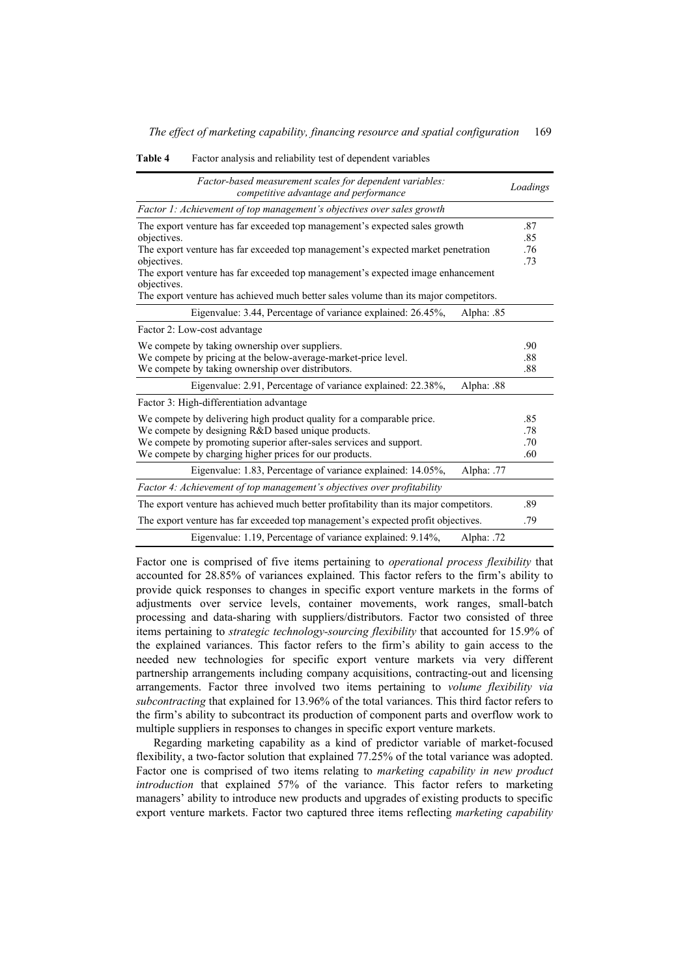**Table 4** Factor analysis and reliability test of dependent variables

| Factor-based measurement scales for dependent variables:<br>competitive advantage and performance                                                                                                                                                           | Loadings                 |
|-------------------------------------------------------------------------------------------------------------------------------------------------------------------------------------------------------------------------------------------------------------|--------------------------|
| Factor 1: Achievement of top management's objectives over sales growth                                                                                                                                                                                      |                          |
| The export venture has far exceeded top management's expected sales growth<br>objectives.<br>The export venture has far exceeded top management's expected market penetration                                                                               | .87<br>.85<br>.76        |
| objectives.<br>The export venture has far exceeded top management's expected image enhancement<br>objectives.                                                                                                                                               | .73                      |
| The export venture has achieved much better sales volume than its major competitors.                                                                                                                                                                        |                          |
| Eigenvalue: 3.44, Percentage of variance explained: 26.45%,<br>Alpha: $.85$                                                                                                                                                                                 |                          |
| Factor 2: Low-cost advantage                                                                                                                                                                                                                                |                          |
| We compete by taking ownership over suppliers.<br>We compete by pricing at the below-average-market-price level.<br>We compete by taking ownership over distributors.                                                                                       | .90<br>.88<br>.88        |
| Eigenvalue: 2.91, Percentage of variance explained: 22.38%,<br>Alpha: .88                                                                                                                                                                                   |                          |
| Factor 3: High-differentiation advantage                                                                                                                                                                                                                    |                          |
| We compete by delivering high product quality for a comparable price.<br>We compete by designing R&D based unique products.<br>We compete by promoting superior after-sales services and support.<br>We compete by charging higher prices for our products. | .85<br>.78<br>.70<br>.60 |
| Eigenvalue: 1.83, Percentage of variance explained: 14.05%,<br>Alpha: $.77$                                                                                                                                                                                 |                          |
| Factor 4: Achievement of top management's objectives over profitability                                                                                                                                                                                     |                          |
| The export venture has achieved much better profitability than its major competitors.                                                                                                                                                                       | .89                      |
| The export venture has far exceeded top management's expected profit objectives.                                                                                                                                                                            | .79                      |
| Eigenvalue: 1.19, Percentage of variance explained: 9.14%,<br>Alpha: $.72$                                                                                                                                                                                  |                          |

Factor one is comprised of five items pertaining to *operational process flexibility* that accounted for 28.85% of variances explained. This factor refers to the firm's ability to provide quick responses to changes in specific export venture markets in the forms of adjustments over service levels, container movements, work ranges, small-batch processing and data-sharing with suppliers/distributors. Factor two consisted of three items pertaining to *strategic technology-sourcing flexibility* that accounted for 15.9% of the explained variances. This factor refers to the firm's ability to gain access to the needed new technologies for specific export venture markets via very different partnership arrangements including company acquisitions, contracting-out and licensing arrangements. Factor three involved two items pertaining to *volume flexibility via subcontracting* that explained for 13.96% of the total variances. This third factor refers to the firm's ability to subcontract its production of component parts and overflow work to multiple suppliers in responses to changes in specific export venture markets.

Regarding marketing capability as a kind of predictor variable of market-focused flexibility, a two-factor solution that explained 77.25% of the total variance was adopted. Factor one is comprised of two items relating to *marketing capability in new product introduction* that explained 57% of the variance. This factor refers to marketing managers' ability to introduce new products and upgrades of existing products to specific export venture markets. Factor two captured three items reflecting *marketing capability*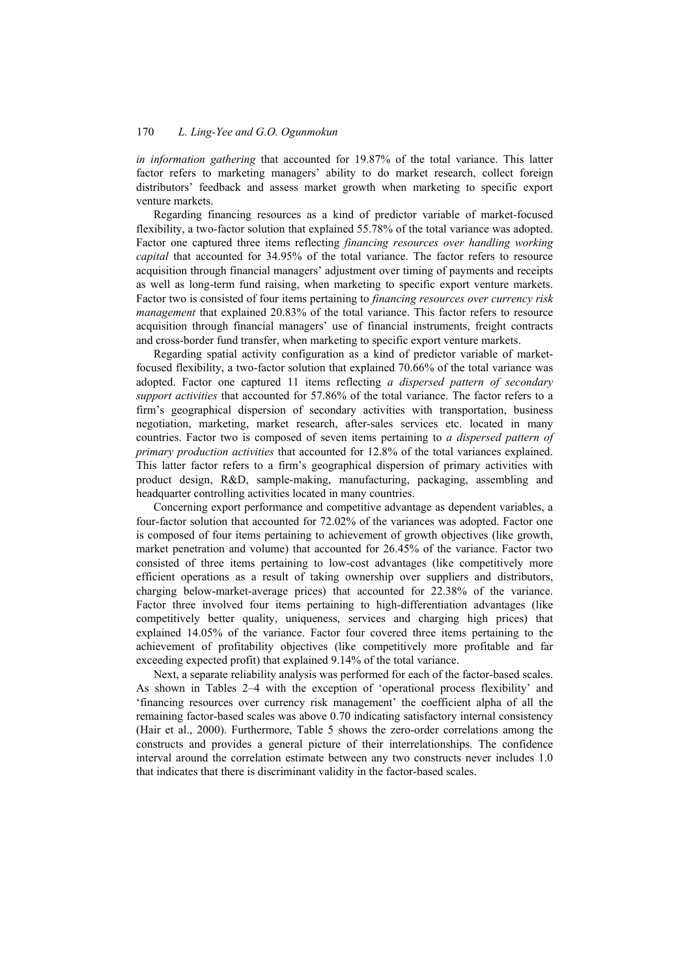*in information gathering* that accounted for 19.87% of the total variance. This latter factor refers to marketing managers' ability to do market research, collect foreign distributors' feedback and assess market growth when marketing to specific export venture markets.

Regarding financing resources as a kind of predictor variable of market-focused flexibility, a two-factor solution that explained 55.78% of the total variance was adopted. Factor one captured three items reflecting *financing resources over handling working capital* that accounted for 34.95% of the total variance. The factor refers to resource acquisition through financial managers' adjustment over timing of payments and receipts as well as long-term fund raising, when marketing to specific export venture markets. Factor two is consisted of four items pertaining to *financing resources over currency risk management* that explained 20.83% of the total variance. This factor refers to resource acquisition through financial managers' use of financial instruments, freight contracts and cross-border fund transfer, when marketing to specific export venture markets.

Regarding spatial activity configuration as a kind of predictor variable of marketfocused flexibility, a two-factor solution that explained 70.66% of the total variance was adopted. Factor one captured 11 items reflecting *a dispersed pattern of secondary support activities* that accounted for 57.86% of the total variance. The factor refers to a firm's geographical dispersion of secondary activities with transportation, business negotiation, marketing, market research, after-sales services etc. located in many countries. Factor two is composed of seven items pertaining to *a dispersed pattern of primary production activities* that accounted for 12.8% of the total variances explained. This latter factor refers to a firm's geographical dispersion of primary activities with product design, R&D, sample-making, manufacturing, packaging, assembling and headquarter controlling activities located in many countries.

Concerning export performance and competitive advantage as dependent variables, a four-factor solution that accounted for 72.02% of the variances was adopted. Factor one is composed of four items pertaining to achievement of growth objectives (like growth, market penetration and volume) that accounted for 26.45% of the variance. Factor two consisted of three items pertaining to low-cost advantages (like competitively more efficient operations as a result of taking ownership over suppliers and distributors, charging below-market-average prices) that accounted for 22.38% of the variance. Factor three involved four items pertaining to high-differentiation advantages (like competitively better quality, uniqueness, services and charging high prices) that explained 14.05% of the variance. Factor four covered three items pertaining to the achievement of profitability objectives (like competitively more profitable and far exceeding expected profit) that explained 9.14% of the total variance.

Next, a separate reliability analysis was performed for each of the factor-based scales. As shown in Tables 2–4 with the exception of 'operational process flexibility' and 'financing resources over currency risk management' the coefficient alpha of all the remaining factor-based scales was above 0.70 indicating satisfactory internal consistency (Hair et al., 2000). Furthermore, Table 5 shows the zero-order correlations among the constructs and provides a general picture of their interrelationships. The confidence interval around the correlation estimate between any two constructs never includes 1.0 that indicates that there is discriminant validity in the factor-based scales.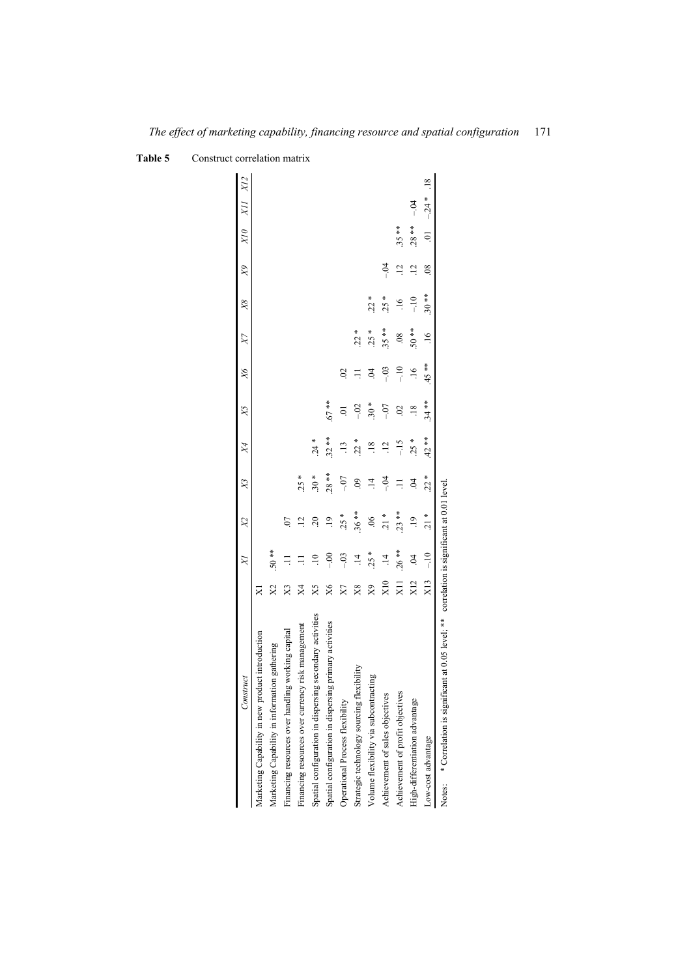| Construct                                                                                      |                           | $_{\rm X}$     | $\mathbb{R}$   | $\mathbb{X}$        | X <sub>4</sub> | X <sub>2</sub>  | $\aleph$      | X               | $\mathbb{X}^8$ | $\mathbb{R}$    | N10            | XΠ       | X <sub>12</sub> |
|------------------------------------------------------------------------------------------------|---------------------------|----------------|----------------|---------------------|----------------|-----------------|---------------|-----------------|----------------|-----------------|----------------|----------|-----------------|
| Marketing Capability in new product introduction                                               |                           |                |                |                     |                |                 |               |                 |                |                 |                |          |                 |
| Marketing Capability in information gathering                                                  | $\boldsymbol{\mathsf{X}}$ | $** 0.5$       |                |                     |                |                 |               |                 |                |                 |                |          |                 |
| Financing resources over handling working capital                                              | $\boldsymbol{\Sigma}$     |                | 07             |                     |                |                 |               |                 |                |                 |                |          |                 |
| Financing resources over currency risk management                                              | X <sub>4</sub>            |                |                | $25 *$              |                |                 |               |                 |                |                 |                |          |                 |
| secondary activities<br>Spatial configuration in dispersing                                    | X5                        |                | $\overline{c}$ | $30 *$              | $24 *$         |                 |               |                 |                |                 |                |          |                 |
| primary activities<br>Spatial configuration in dispersing                                      | <b>X6</b>                 | <u>୍</u> ଚ     | $\overline{.}$ | $.28**$             | $32**$         | $** 67$         |               |                 |                |                 |                |          |                 |
| Operational Process flexibility                                                                | X7                        | $-03$          | $25 *$         | $-0$                | $\ddot{1}$     |                 | S             |                 |                |                 |                |          |                 |
| cibility<br>Strategic technology sourcing flexi                                                | $_{\rm X8}$               | $\vec{=}$      | $.36**$        | $\ddot{\mathrm{6}}$ | $22 *$         | $-02$           | Ξ             | $.22 *$         |                |                 |                |          |                 |
| Volume flexibility via subcontracting                                                          | $\chi$                    | $.25 *$        | .06            | $\vec{a}$           | $\frac{18}{1}$ | $30*$           | S             | $.25 *$         | $.22 *$        |                 |                |          |                 |
| Achievement of sales objectives                                                                | $\overline{X}10$          | $\overline{4}$ | $.21 *$        | $-0$                | $\ddot{5}$     | $-0$            | $-03$         | $.35***$        | $25 *$         | $-04$           |                |          |                 |
| Achievement of profit objectives                                                               | $\overline{X}$            | $.26**$        | $23**$         | Ξ                   | $-15$          | S               | $\frac{1}{i}$ | $\overline{08}$ | $\frac{6}{1}$  | $\overline{12}$ | $35**$         |          |                 |
| High-differentiation advantage                                                                 | X12                       | S.             |                | $\widetilde{5}$     | $25 *$         | $\overline{18}$ | $-16$         | $** 0.5$        | $\frac{1}{1}$  | $\overline{5}$  | $.28**$        | -01<br>- |                 |
| Low-cost advantage                                                                             | X <sub>13</sub>           | $-10$          | $21 *$         | $.22 *$             | $42**$         | $34**$          | $** 45$       | $\frac{6}{1}$   | $30**$         | $\overline{08}$ | $\overline{a}$ | $-24$ *  | $\overline{18}$ |
| Notes: * Correlation is significant at 0.05 level; ** correlation is significant at 0.01 level |                           |                |                |                     |                |                 |               |                 |                |                 |                |          |                 |

Table 5 Construct correlation matrix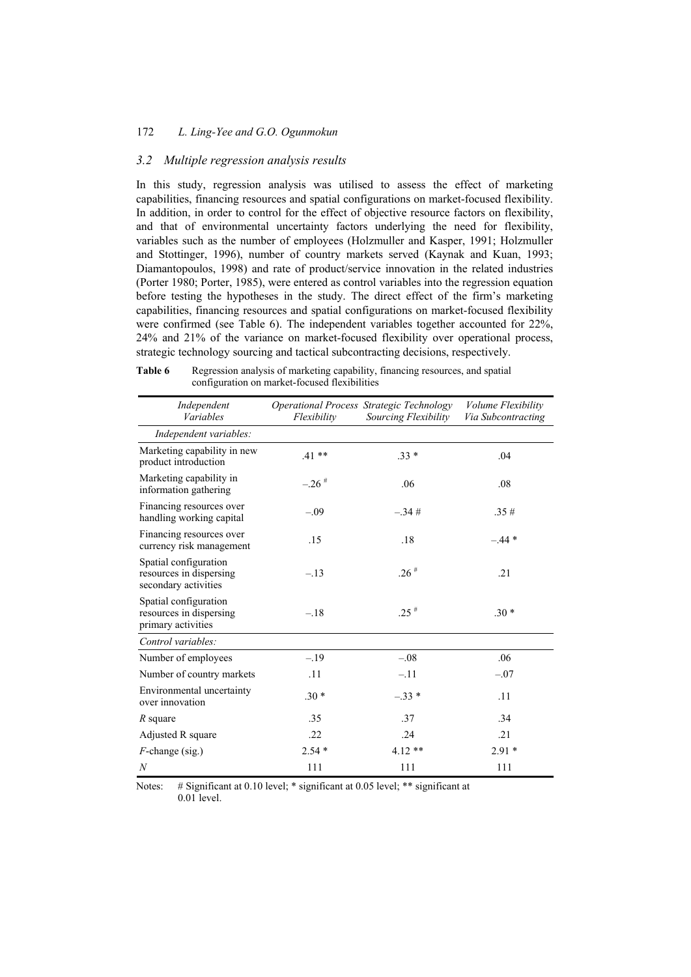# *3.2 Multiple regression analysis results*

In this study, regression analysis was utilised to assess the effect of marketing capabilities, financing resources and spatial configurations on market-focused flexibility. In addition, in order to control for the effect of objective resource factors on flexibility, and that of environmental uncertainty factors underlying the need for flexibility, variables such as the number of employees (Holzmuller and Kasper, 1991; Holzmuller and Stottinger, 1996), number of country markets served (Kaynak and Kuan, 1993; Diamantopoulos, 1998) and rate of product/service innovation in the related industries (Porter 1980; Porter, 1985), were entered as control variables into the regression equation before testing the hypotheses in the study. The direct effect of the firm's marketing capabilities, financing resources and spatial configurations on market-focused flexibility were confirmed (see Table 6). The independent variables together accounted for 22%, 24% and 21% of the variance on market-focused flexibility over operational process, strategic technology sourcing and tactical subcontracting decisions, respectively.

| Table 6 | Regression analysis of marketing capability, financing resources, and spatial |
|---------|-------------------------------------------------------------------------------|
|         | configuration on market-focused flexibilities                                 |

| Independent<br><i>Variables</i>                                          | Flexibility         | <b>Operational Process Strategic Technology</b><br>Sourcing Flexibility | Volume Flexibility<br>Via Subcontracting |
|--------------------------------------------------------------------------|---------------------|-------------------------------------------------------------------------|------------------------------------------|
| Independent variables:                                                   |                     |                                                                         |                                          |
| Marketing capability in new<br>product introduction                      | $.41**$             | $.33*$                                                                  | .04                                      |
| Marketing capability in<br>information gathering                         | $-.26$ <sup>#</sup> | .06                                                                     | .08                                      |
| Financing resources over<br>handling working capital                     | $-.09$              | $-.34#$                                                                 | .35#                                     |
| Financing resources over<br>currency risk management                     | .15                 | .18                                                                     | $-44*$                                   |
| Spatial configuration<br>resources in dispersing<br>secondary activities | $-.13$              | $.26$ $*$                                                               | .21                                      |
| Spatial configuration<br>resources in dispersing<br>primary activities   | $-.18$              | $.25$ <sup>#</sup>                                                      | $.30*$                                   |
| Control variables:                                                       |                     |                                                                         |                                          |
| Number of employees                                                      | $-.19$              | $-.08$                                                                  | .06                                      |
| Number of country markets                                                | .11                 | $-.11$                                                                  | $-.07$                                   |
| Environmental uncertainty<br>over innovation                             | $.30*$              | $-.33*$                                                                 | .11                                      |
| $R$ square                                                               | .35                 | .37                                                                     | .34                                      |
| Adjusted R square                                                        | .22                 | .24                                                                     | .21                                      |
| $F$ -change (sig.)                                                       | $2.54*$             | $4.12**$                                                                | $2.91*$                                  |
| N                                                                        | 111                 | 111                                                                     | 111                                      |

Notes: # Significant at 0.10 level; \* significant at 0.05 level; \*\* significant at  $0.01$  level.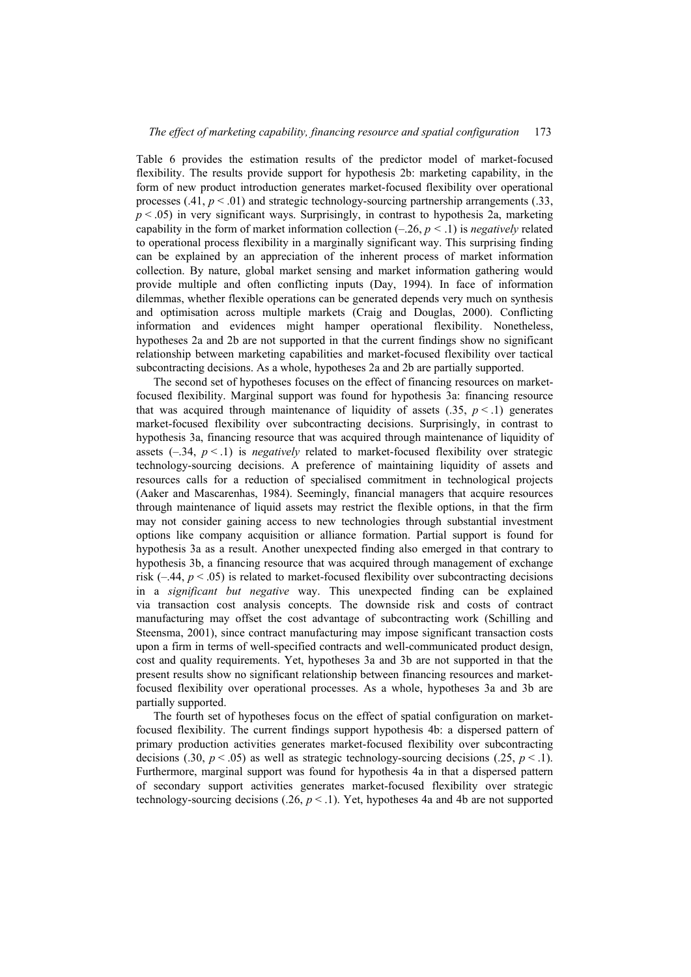Table 6 provides the estimation results of the predictor model of market-focused flexibility. The results provide support for hypothesis 2b: marketing capability, in the form of new product introduction generates market-focused flexibility over operational processes  $(.41, p < .01)$  and strategic technology-sourcing partnership arrangements  $(.33, 0.01)$  $p < .05$ ) in very significant ways. Surprisingly, in contrast to hypothesis 2a, marketing capability in the form of market information collection  $(-26, p < 1)$  is *negatively* related to operational process flexibility in a marginally significant way. This surprising finding can be explained by an appreciation of the inherent process of market information collection. By nature, global market sensing and market information gathering would provide multiple and often conflicting inputs (Day, 1994). In face of information dilemmas, whether flexible operations can be generated depends very much on synthesis and optimisation across multiple markets (Craig and Douglas, 2000). Conflicting information and evidences might hamper operational flexibility. Nonetheless, hypotheses 2a and 2b are not supported in that the current findings show no significant relationship between marketing capabilities and market-focused flexibility over tactical subcontracting decisions. As a whole, hypotheses 2a and 2b are partially supported.

The second set of hypotheses focuses on the effect of financing resources on marketfocused flexibility. Marginal support was found for hypothesis 3a: financing resource that was acquired through maintenance of liquidity of assets  $(.35, p < .1)$  generates market-focused flexibility over subcontracting decisions. Surprisingly, in contrast to hypothesis 3a, financing resource that was acquired through maintenance of liquidity of assets  $(-.34, p < .1)$  is *negatively* related to market-focused flexibility over strategic technology-sourcing decisions. A preference of maintaining liquidity of assets and resources calls for a reduction of specialised commitment in technological projects (Aaker and Mascarenhas, 1984). Seemingly, financial managers that acquire resources through maintenance of liquid assets may restrict the flexible options, in that the firm may not consider gaining access to new technologies through substantial investment options like company acquisition or alliance formation. Partial support is found for hypothesis 3a as a result. Another unexpected finding also emerged in that contrary to hypothesis 3b, a financing resource that was acquired through management of exchange risk  $(-.44, p < .05)$  is related to market-focused flexibility over subcontracting decisions in a *significant but negative* way. This unexpected finding can be explained via transaction cost analysis concepts. The downside risk and costs of contract manufacturing may offset the cost advantage of subcontracting work (Schilling and Steensma, 2001), since contract manufacturing may impose significant transaction costs upon a firm in terms of well-specified contracts and well-communicated product design, cost and quality requirements. Yet, hypotheses 3a and 3b are not supported in that the present results show no significant relationship between financing resources and marketfocused flexibility over operational processes. As a whole, hypotheses 3a and 3b are partially supported.

The fourth set of hypotheses focus on the effect of spatial configuration on marketfocused flexibility. The current findings support hypothesis 4b: a dispersed pattern of primary production activities generates market-focused flexibility over subcontracting decisions (.30,  $p < .05$ ) as well as strategic technology-sourcing decisions (.25,  $p < .1$ ). Furthermore, marginal support was found for hypothesis 4a in that a dispersed pattern of secondary support activities generates market-focused flexibility over strategic technology-sourcing decisions  $(.26, p < .1)$ . Yet, hypotheses 4a and 4b are not supported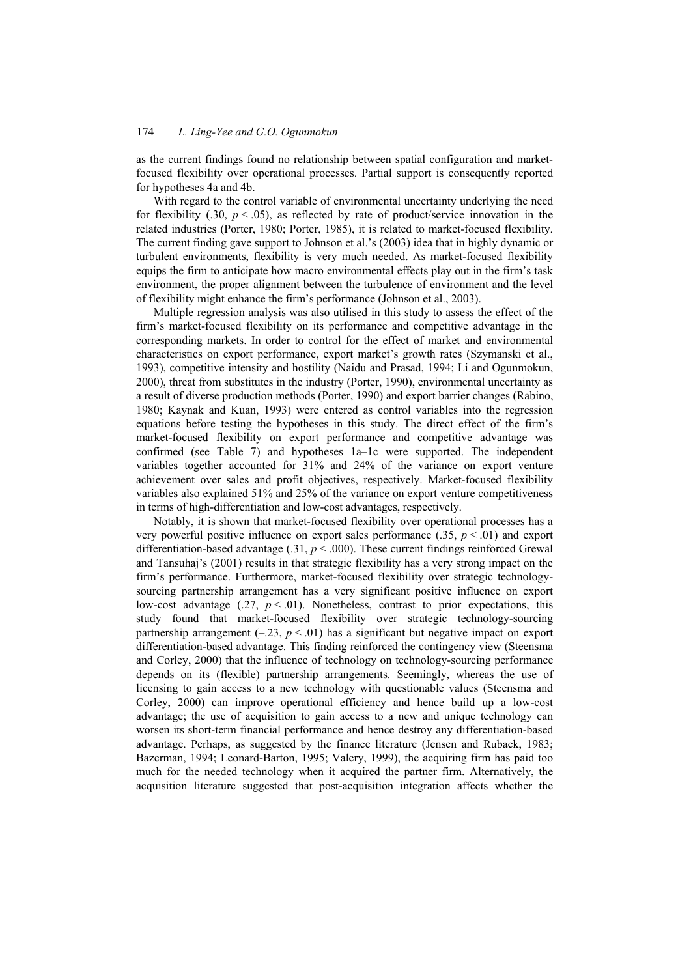as the current findings found no relationship between spatial configuration and marketfocused flexibility over operational processes. Partial support is consequently reported for hypotheses 4a and 4b.

With regard to the control variable of environmental uncertainty underlying the need for flexibility (.30,  $p < .05$ ), as reflected by rate of product/service innovation in the related industries (Porter, 1980; Porter, 1985), it is related to market-focused flexibility. The current finding gave support to Johnson et al.'s (2003) idea that in highly dynamic or turbulent environments, flexibility is very much needed. As market-focused flexibility equips the firm to anticipate how macro environmental effects play out in the firm's task environment, the proper alignment between the turbulence of environment and the level of flexibility might enhance the firm's performance (Johnson et al., 2003).

Multiple regression analysis was also utilised in this study to assess the effect of the firm's market-focused flexibility on its performance and competitive advantage in the corresponding markets. In order to control for the effect of market and environmental characteristics on export performance, export market's growth rates (Szymanski et al., 1993), competitive intensity and hostility (Naidu and Prasad, 1994; Li and Ogunmokun, 2000), threat from substitutes in the industry (Porter, 1990), environmental uncertainty as a result of diverse production methods (Porter, 1990) and export barrier changes (Rabino, 1980; Kaynak and Kuan, 1993) were entered as control variables into the regression equations before testing the hypotheses in this study. The direct effect of the firm's market-focused flexibility on export performance and competitive advantage was confirmed (see Table 7) and hypotheses 1a–1c were supported. The independent variables together accounted for 31% and 24% of the variance on export venture achievement over sales and profit objectives, respectively. Market-focused flexibility variables also explained 51% and 25% of the variance on export venture competitiveness in terms of high-differentiation and low-cost advantages, respectively.

Notably, it is shown that market-focused flexibility over operational processes has a very powerful positive influence on export sales performance  $(.35, p < .01)$  and export differentiation-based advantage  $(.31, p \le .000)$ . These current findings reinforced Grewal and Tansuhaj's (2001) results in that strategic flexibility has a very strong impact on the firm's performance. Furthermore, market-focused flexibility over strategic technologysourcing partnership arrangement has a very significant positive influence on export low-cost advantage  $(0.27, p \le 0.01)$ . Nonetheless, contrast to prior expectations, this study found that market-focused flexibility over strategic technology-sourcing partnership arrangement  $(-.23, p < .01)$  has a significant but negative impact on export differentiation-based advantage. This finding reinforced the contingency view (Steensma and Corley, 2000) that the influence of technology on technology-sourcing performance depends on its (flexible) partnership arrangements. Seemingly, whereas the use of licensing to gain access to a new technology with questionable values (Steensma and Corley, 2000) can improve operational efficiency and hence build up a low-cost advantage; the use of acquisition to gain access to a new and unique technology can worsen its short-term financial performance and hence destroy any differentiation-based advantage. Perhaps, as suggested by the finance literature (Jensen and Ruback, 1983; Bazerman, 1994; Leonard-Barton, 1995; Valery, 1999), the acquiring firm has paid too much for the needed technology when it acquired the partner firm. Alternatively, the acquisition literature suggested that post-acquisition integration affects whether the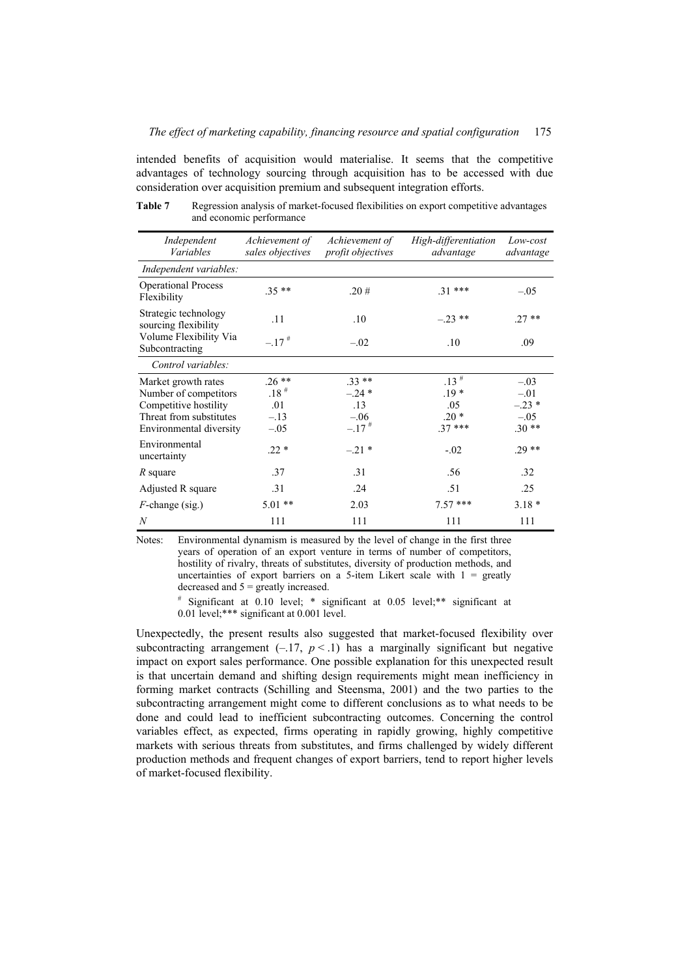intended benefits of acquisition would materialise. It seems that the competitive advantages of technology sourcing through acquisition has to be accessed with due consideration over acquisition premium and subsequent integration efforts.

Table 7 Regression analysis of market-focused flexibilities on export competitive advantages and economic performance

| Independent<br>Variables                     | Achievement of<br>sales objectives | Achievement of<br>profit objectives | High-differentiation<br>advantage | Low-cost<br>advantage |
|----------------------------------------------|------------------------------------|-------------------------------------|-----------------------------------|-----------------------|
| Independent variables:                       |                                    |                                     |                                   |                       |
| <b>Operational Process</b><br>Flexibility    | $.35**$                            | .20#                                | $.31***$                          | $-.05$                |
| Strategic technology<br>sourcing flexibility | .11                                | .10                                 | $-.23**$                          | $.27**$               |
| Volume Flexibility Via<br>Subcontracting     | $-17$ <sup>#</sup>                 | $-.02$                              | .10                               | .09                   |
| Control variables:                           |                                    |                                     |                                   |                       |
| Market growth rates                          | $.26**$                            | $.33***$                            | $.13^{\#}$                        | $-.03$                |
| Number of competitors                        | $.18^{\#}$                         | $-.24*$                             | $.19*$                            | $-.01$                |
| Competitive hostility                        | .01                                | .13                                 | .05                               | $-.23*$               |
| Threat from substitutes                      | $-.13$                             | $-.06$                              | $.20*$                            | $-.05$                |
| Environmental diversity                      | $-.05$                             | $-.17$ <sup>#</sup>                 | $.37***$                          | $.30**$               |
| Environmental<br>uncertainty                 | $.22*$                             | $-.21$ *                            | $-.02$                            | $.29**$               |
| $R$ square                                   | .37                                | .31                                 | .56                               | .32                   |
| Adjusted R square                            | .31                                | .24                                 | .51                               | .25                   |
| $F$ -change (sig.)                           | $5.01**$                           | 2.03                                | $7.57$ ***                        | $3.18*$               |
| $\boldsymbol{N}$                             | 111                                | 111                                 | 111                               | 111                   |

Notes: Environmental dynamism is measured by the level of change in the first three years of operation of an export venture in terms of number of competitors, hostility of rivalry, threats of substitutes, diversity of production methods, and uncertainties of export barriers on a 5-item Likert scale with  $1 = \text{greatly}$ decreased and 5 = greatly increased.

> # Significant at 0.10 level; \* significant at 0.05 level;\*\* significant at 0.01 level;\*\*\* significant at 0.001 level.

Unexpectedly, the present results also suggested that market-focused flexibility over subcontracting arrangement  $(-17, p < 1)$  has a marginally significant but negative impact on export sales performance. One possible explanation for this unexpected result is that uncertain demand and shifting design requirements might mean inefficiency in forming market contracts (Schilling and Steensma, 2001) and the two parties to the subcontracting arrangement might come to different conclusions as to what needs to be done and could lead to inefficient subcontracting outcomes. Concerning the control variables effect, as expected, firms operating in rapidly growing, highly competitive markets with serious threats from substitutes, and firms challenged by widely different production methods and frequent changes of export barriers, tend to report higher levels of market-focused flexibility.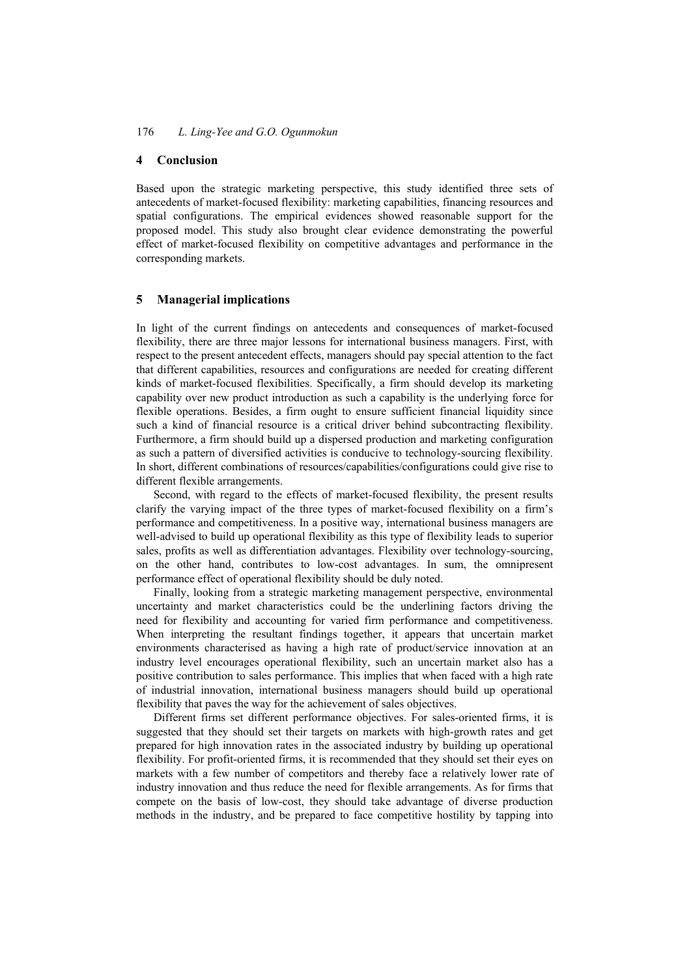## **4 Conclusion**

Based upon the strategic marketing perspective, this study identified three sets of antecedents of market-focused flexibility: marketing capabilities, financing resources and spatial configurations. The empirical evidences showed reasonable support for the proposed model. This study also brought clear evidence demonstrating the powerful effect of market-focused flexibility on competitive advantages and performance in the corresponding markets.

## **5 Managerial implications**

In light of the current findings on antecedents and consequences of market-focused flexibility, there are three major lessons for international business managers. First, with respect to the present antecedent effects, managers should pay special attention to the fact that different capabilities, resources and configurations are needed for creating different kinds of market-focused flexibilities. Specifically, a firm should develop its marketing capability over new product introduction as such a capability is the underlying force for flexible operations. Besides, a firm ought to ensure sufficient financial liquidity since such a kind of financial resource is a critical driver behind subcontracting flexibility. Furthermore, a firm should build up a dispersed production and marketing configuration as such a pattern of diversified activities is conducive to technology-sourcing flexibility. In short, different combinations of resources/capabilities/configurations could give rise to different flexible arrangements.

Second, with regard to the effects of market-focused flexibility, the present results clarify the varying impact of the three types of market-focused flexibility on a firm's performance and competitiveness. In a positive way, international business managers are well-advised to build up operational flexibility as this type of flexibility leads to superior sales, profits as well as differentiation advantages. Flexibility over technology-sourcing, on the other hand, contributes to low-cost advantages. In sum, the omnipresent performance effect of operational flexibility should be duly noted.

Finally, looking from a strategic marketing management perspective, environmental uncertainty and market characteristics could be the underlining factors driving the need for flexibility and accounting for varied firm performance and competitiveness. When interpreting the resultant findings together, it appears that uncertain market environments characterised as having a high rate of product/service innovation at an industry level encourages operational flexibility, such an uncertain market also has a positive contribution to sales performance. This implies that when faced with a high rate of industrial innovation, international business managers should build up operational flexibility that paves the way for the achievement of sales objectives.

Different firms set different performance objectives. For sales-oriented firms, it is suggested that they should set their targets on markets with high-growth rates and get prepared for high innovation rates in the associated industry by building up operational flexibility. For profit-oriented firms, it is recommended that they should set their eyes on markets with a few number of competitors and thereby face a relatively lower rate of industry innovation and thus reduce the need for flexible arrangements. As for firms that compete on the basis of low-cost, they should take advantage of diverse production methods in the industry, and be prepared to face competitive hostility by tapping into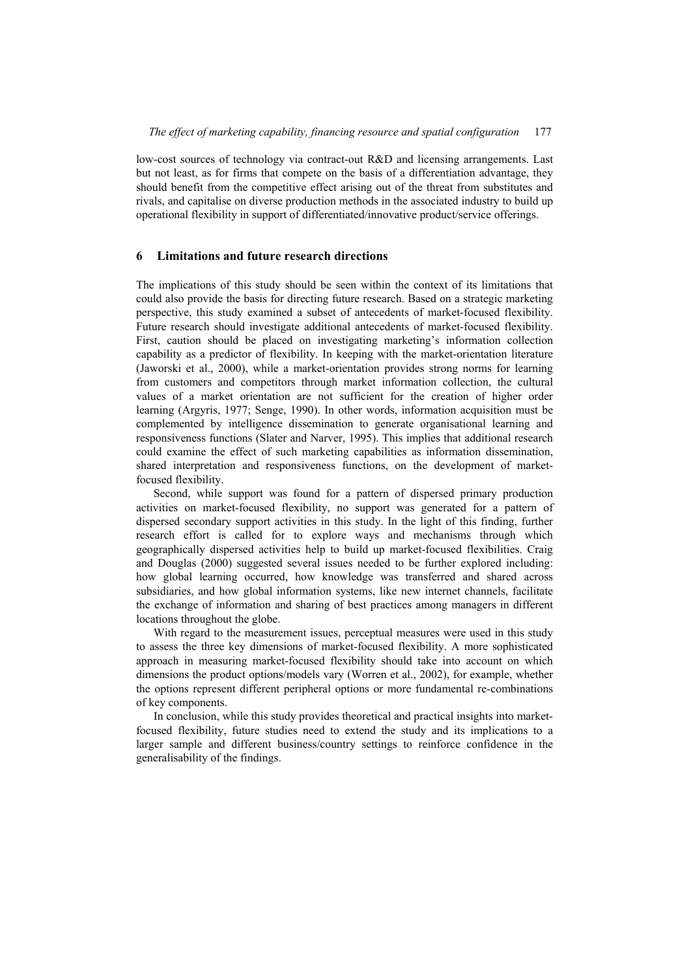low-cost sources of technology via contract-out R&D and licensing arrangements. Last but not least, as for firms that compete on the basis of a differentiation advantage, they should benefit from the competitive effect arising out of the threat from substitutes and rivals, and capitalise on diverse production methods in the associated industry to build up operational flexibility in support of differentiated/innovative product/service offerings.

# **6 Limitations and future research directions**

The implications of this study should be seen within the context of its limitations that could also provide the basis for directing future research. Based on a strategic marketing perspective, this study examined a subset of antecedents of market-focused flexibility. Future research should investigate additional antecedents of market-focused flexibility. First, caution should be placed on investigating marketing's information collection capability as a predictor of flexibility. In keeping with the market-orientation literature (Jaworski et al., 2000), while a market-orientation provides strong norms for learning from customers and competitors through market information collection, the cultural values of a market orientation are not sufficient for the creation of higher order learning (Argyris, 1977; Senge, 1990). In other words, information acquisition must be complemented by intelligence dissemination to generate organisational learning and responsiveness functions (Slater and Narver, 1995). This implies that additional research could examine the effect of such marketing capabilities as information dissemination, shared interpretation and responsiveness functions, on the development of marketfocused flexibility.

Second, while support was found for a pattern of dispersed primary production activities on market-focused flexibility, no support was generated for a pattern of dispersed secondary support activities in this study. In the light of this finding, further research effort is called for to explore ways and mechanisms through which geographically dispersed activities help to build up market-focused flexibilities. Craig and Douglas (2000) suggested several issues needed to be further explored including: how global learning occurred, how knowledge was transferred and shared across subsidiaries, and how global information systems, like new internet channels, facilitate the exchange of information and sharing of best practices among managers in different locations throughout the globe.

With regard to the measurement issues, perceptual measures were used in this study to assess the three key dimensions of market-focused flexibility. A more sophisticated approach in measuring market-focused flexibility should take into account on which dimensions the product options/models vary (Worren et al., 2002), for example, whether the options represent different peripheral options or more fundamental re-combinations of key components.

In conclusion, while this study provides theoretical and practical insights into marketfocused flexibility, future studies need to extend the study and its implications to a larger sample and different business/country settings to reinforce confidence in the generalisability of the findings.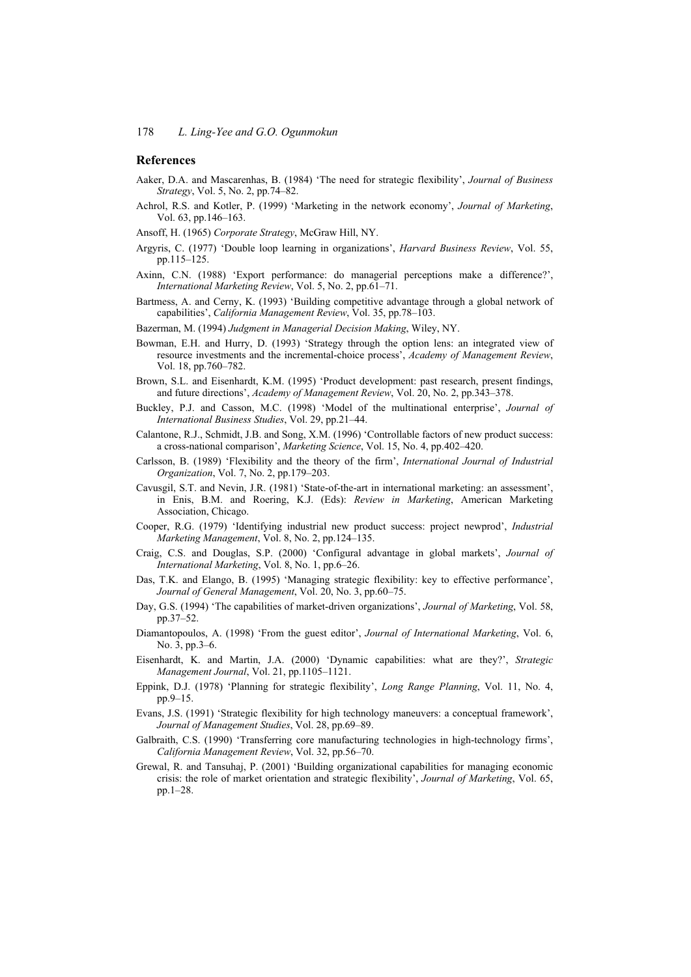#### **References**

- Aaker, D.A. and Mascarenhas, B. (1984) 'The need for strategic flexibility', *Journal of Business Strategy*, Vol. 5, No. 2, pp.74–82.
- Achrol, R.S. and Kotler, P. (1999) 'Marketing in the network economy', *Journal of Marketing*, Vol. 63, pp.146–163.
- Ansoff, H. (1965) *Corporate Strategy*, McGraw Hill, NY.
- Argyris, C. (1977) 'Double loop learning in organizations', *Harvard Business Review*, Vol. 55, pp.115–125.
- Axinn, C.N. (1988) 'Export performance: do managerial perceptions make a difference?', *International Marketing Review*, Vol. 5, No. 2, pp.61–71.
- Bartmess, A. and Cerny, K. (1993) 'Building competitive advantage through a global network of capabilities', *California Management Review*, Vol. 35, pp.78–103.
- Bazerman, M. (1994) *Judgment in Managerial Decision Making*, Wiley, NY.
- Bowman, E.H. and Hurry, D. (1993) 'Strategy through the option lens: an integrated view of resource investments and the incremental-choice process', *Academy of Management Review*, Vol. 18, pp.760–782.
- Brown, S.L. and Eisenhardt, K.M. (1995) 'Product development: past research, present findings, and future directions', *Academy of Management Review*, Vol. 20, No. 2, pp.343–378.
- Buckley, P.J. and Casson, M.C. (1998) 'Model of the multinational enterprise', *Journal of International Business Studies*, Vol. 29, pp.21–44.
- Calantone, R.J., Schmidt, J.B. and Song, X.M. (1996) 'Controllable factors of new product success: a cross-national comparison', *Marketing Science*, Vol. 15, No. 4, pp.402–420.
- Carlsson, B. (1989) 'Flexibility and the theory of the firm', *International Journal of Industrial Organization*, Vol. 7, No. 2, pp.179–203.
- Cavusgil, S.T. and Nevin, J.R. (1981) 'State-of-the-art in international marketing: an assessment', in Enis, B.M. and Roering, K.J. (Eds): *Review in Marketing*, American Marketing Association, Chicago.
- Cooper, R.G. (1979) 'Identifying industrial new product success: project newprod', *Industrial Marketing Management*, Vol. 8, No. 2, pp.124–135.
- Craig, C.S. and Douglas, S.P. (2000) 'Configural advantage in global markets', *Journal of International Marketing*, Vol. 8, No. 1, pp.6–26.
- Das, T.K. and Elango, B. (1995) 'Managing strategic flexibility: key to effective performance', *Journal of General Management*, Vol. 20, No. 3, pp.60–75.
- Day, G.S. (1994) 'The capabilities of market-driven organizations', *Journal of Marketing*, Vol. 58, pp.37–52.
- Diamantopoulos, A. (1998) 'From the guest editor', *Journal of International Marketing*, Vol. 6, No. 3, pp.3–6.
- Eisenhardt, K. and Martin, J.A. (2000) 'Dynamic capabilities: what are they?', *Strategic Management Journal*, Vol. 21, pp.1105–1121.
- Eppink, D.J. (1978) 'Planning for strategic flexibility', *Long Range Planning*, Vol. 11, No. 4, pp.9–15.
- Evans, J.S. (1991) 'Strategic flexibility for high technology maneuvers: a conceptual framework', *Journal of Management Studies*, Vol. 28, pp.69–89.
- Galbraith, C.S. (1990) 'Transferring core manufacturing technologies in high-technology firms', *California Management Review*, Vol. 32, pp.56–70.
- Grewal, R. and Tansuhaj, P. (2001) 'Building organizational capabilities for managing economic crisis: the role of market orientation and strategic flexibility', *Journal of Marketing*, Vol. 65, pp.1–28.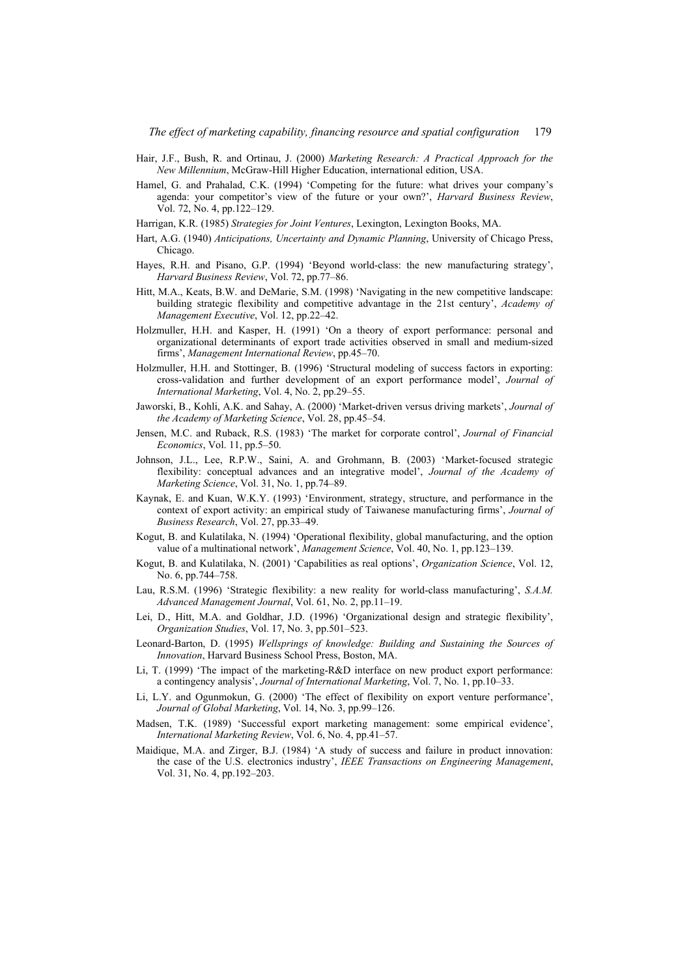- Hair, J.F., Bush, R. and Ortinau, J. (2000) *Marketing Research: A Practical Approach for the New Millennium*, McGraw-Hill Higher Education, international edition, USA.
- Hamel, G. and Prahalad, C.K. (1994) 'Competing for the future: what drives your company's agenda: your competitor's view of the future or your own?', *Harvard Business Review*, Vol. 72, No. 4, pp.122–129.
- Harrigan, K.R. (1985) *Strategies for Joint Ventures*, Lexington, Lexington Books, MA.
- Hart, A.G. (1940) *Anticipations, Uncertainty and Dynamic Planning*, University of Chicago Press, Chicago
- Hayes, R.H. and Pisano, G.P. (1994) 'Beyond world-class: the new manufacturing strategy', *Harvard Business Review*, Vol. 72, pp.77–86.
- Hitt, M.A., Keats, B.W. and DeMarie, S.M. (1998) 'Navigating in the new competitive landscape: building strategic flexibility and competitive advantage in the 21st century', *Academy of Management Executive*, Vol. 12, pp.22–42.
- Holzmuller, H.H. and Kasper, H. (1991) 'On a theory of export performance: personal and organizational determinants of export trade activities observed in small and medium-sized firms', *Management International Review*, pp.45–70.
- Holzmuller, H.H. and Stottinger, B. (1996) 'Structural modeling of success factors in exporting: cross-validation and further development of an export performance model', *Journal of International Marketing*, Vol. 4, No. 2, pp.29–55.
- Jaworski, B., Kohli, A.K. and Sahay, A. (2000) 'Market-driven versus driving markets', *Journal of the Academy of Marketing Science*, Vol. 28, pp.45–54.
- Jensen, M.C. and Ruback, R.S. (1983) 'The market for corporate control', *Journal of Financial Economics*, Vol. 11, pp.5–50.
- Johnson, J.L., Lee, R.P.W., Saini, A. and Grohmann, B. (2003) 'Market-focused strategic flexibility: conceptual advances and an integrative model', *Journal of the Academy of Marketing Science*, Vol. 31, No. 1, pp.74–89.
- Kaynak, E. and Kuan, W.K.Y. (1993) 'Environment, strategy, structure, and performance in the context of export activity: an empirical study of Taiwanese manufacturing firms', *Journal of Business Research*, Vol. 27, pp.33–49.
- Kogut, B. and Kulatilaka, N. (1994) 'Operational flexibility, global manufacturing, and the option value of a multinational network', *Management Science*, Vol. 40, No. 1, pp.123–139.
- Kogut, B. and Kulatilaka, N. (2001) 'Capabilities as real options', *Organization Science*, Vol. 12, No. 6, pp.744–758.
- Lau, R.S.M. (1996) 'Strategic flexibility: a new reality for world-class manufacturing', *S.A.M. Advanced Management Journal*, Vol. 61, No. 2, pp.11–19.
- Lei, D., Hitt, M.A. and Goldhar, J.D. (1996) 'Organizational design and strategic flexibility', *Organization Studies*, Vol. 17, No. 3, pp.501–523.
- Leonard-Barton, D. (1995) *Wellsprings of knowledge: Building and Sustaining the Sources of Innovation*, Harvard Business School Press, Boston, MA.
- Li, T. (1999) 'The impact of the marketing-R&D interface on new product export performance: a contingency analysis', *Journal of International Marketing*, Vol. 7, No. 1, pp.10–33.
- Li, L.Y. and Ogunmokun, G. (2000) 'The effect of flexibility on export venture performance', *Journal of Global Marketing*, Vol. 14, No. 3, pp.99–126.
- Madsen, T.K. (1989) 'Successful export marketing management: some empirical evidence', *International Marketing Review*, Vol. 6, No. 4, pp.41–57.
- Maidique, M.A. and Zirger, B.J. (1984) 'A study of success and failure in product innovation: the case of the U.S. electronics industry', *IEEE Transactions on Engineering Management*, Vol. 31, No. 4, pp.192–203.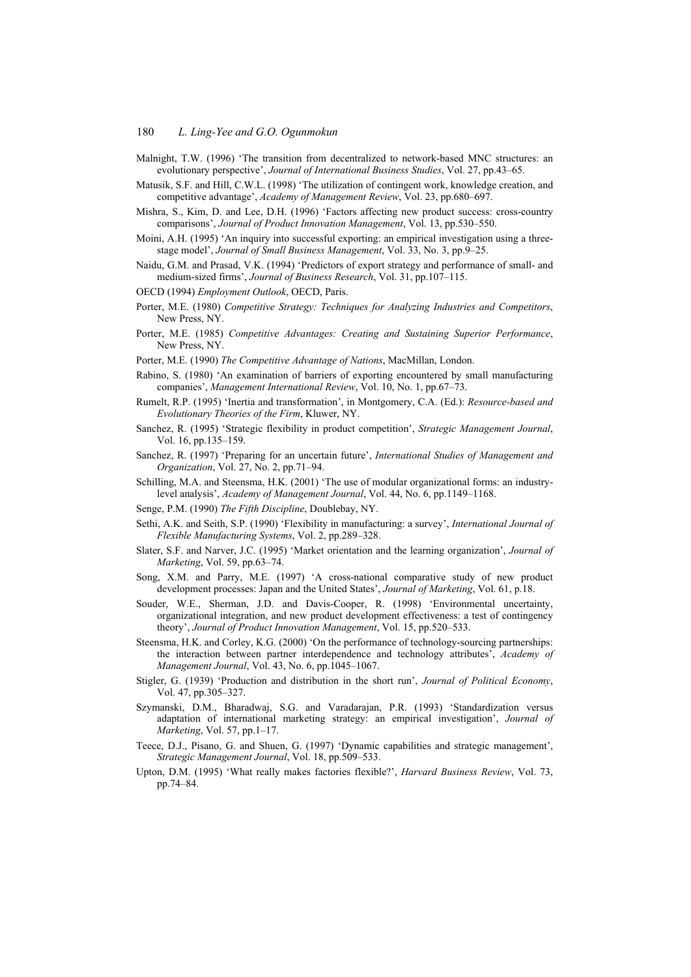- Malnight, T.W. (1996) 'The transition from decentralized to network-based MNC structures: an evolutionary perspective', *Journal of International Business Studies*, Vol. 27, pp.43–65.
- Matusik, S.F. and Hill, C.W.L. (1998) 'The utilization of contingent work, knowledge creation, and competitive advantage', *Academy of Management Review*, Vol. 23, pp.680–697.
- Mishra, S., Kim, D. and Lee, D.H. (1996) 'Factors affecting new product success: cross-country comparisons', *Journal of Product Innovation Management*, Vol. 13, pp.530–550.
- Moini, A.H. (1995) 'An inquiry into successful exporting: an empirical investigation using a threestage model', *Journal of Small Business Management*, Vol. 33, No. 3, pp.9–25.
- Naidu, G.M. and Prasad, V.K. (1994) 'Predictors of export strategy and performance of small- and medium-sized firms', *Journal of Business Research*, Vol. 31, pp.107–115.
- OECD (1994) *Employment Outlook*, OECD, Paris.
- Porter, M.E. (1980) *Competitive Strategy: Techniques for Analyzing Industries and Competitors*, New Press, NY.
- Porter, M.E. (1985) *Competitive Advantages: Creating and Sustaining Superior Performance*, New Press, NY.
- Porter, M.E. (1990) *The Competitive Advantage of Nations*, MacMillan, London.
- Rabino, S. (1980) 'An examination of barriers of exporting encountered by small manufacturing companies', *Management International Review*, Vol. 10, No. 1, pp.67–73.
- Rumelt, R.P. (1995) 'Inertia and transformation', in Montgomery, C.A. (Ed.): *Resource-based and Evolutionary Theories of the Firm*, Kluwer, NY.
- Sanchez, R. (1995) 'Strategic flexibility in product competition', *Strategic Management Journal*, Vol. 16, pp.135–159.
- Sanchez, R. (1997) 'Preparing for an uncertain future', *International Studies of Management and Organization*, Vol. 27, No. 2, pp.71–94.
- Schilling, M.A. and Steensma, H.K. (2001) 'The use of modular organizational forms: an industrylevel analysis', *Academy of Management Journal*, Vol. 44, No. 6, pp.1149–1168.
- Senge, P.M. (1990) *The Fifth Discipline*, Doublebay, NY.
- Sethi, A.K. and Seith, S.P. (1990) 'Flexibility in manufacturing: a survey', *International Journal of Flexible Manufacturing Systems*, Vol. 2, pp.289–328.
- Slater, S.F. and Narver, J.C. (1995) 'Market orientation and the learning organization', *Journal of Marketing*, Vol. 59, pp.63–74.
- Song, X.M. and Parry, M.E. (1997) 'A cross-national comparative study of new product development processes: Japan and the United States', *Journal of Marketing*, Vol. 61, p.18.
- Souder, W.E., Sherman, J.D. and Davis-Cooper, R. (1998) 'Environmental uncertainty, organizational integration, and new product development effectiveness: a test of contingency theory', *Journal of Product Innovation Management*, Vol. 15, pp.520–533.
- Steensma, H.K. and Corley, K.G. (2000) 'On the performance of technology-sourcing partnerships: the interaction between partner interdependence and technology attributes', *Academy of Management Journal*, Vol. 43, No. 6, pp.1045–1067.
- Stigler, G. (1939) 'Production and distribution in the short run', *Journal of Political Economy*, Vol. 47, pp.305–327.
- Szymanski, D.M., Bharadwaj, S.G. and Varadarajan, P.R. (1993) 'Standardization versus adaptation of international marketing strategy: an empirical investigation', *Journal of Marketing*, Vol. 57, pp.1–17.
- Teece, D.J., Pisano, G. and Shuen, G. (1997) 'Dynamic capabilities and strategic management', *Strategic Management Journal*, Vol. 18, pp.509–533.
- Upton, D.M. (1995) 'What really makes factories flexible?', *Harvard Business Review*, Vol. 73, pp.74–84.